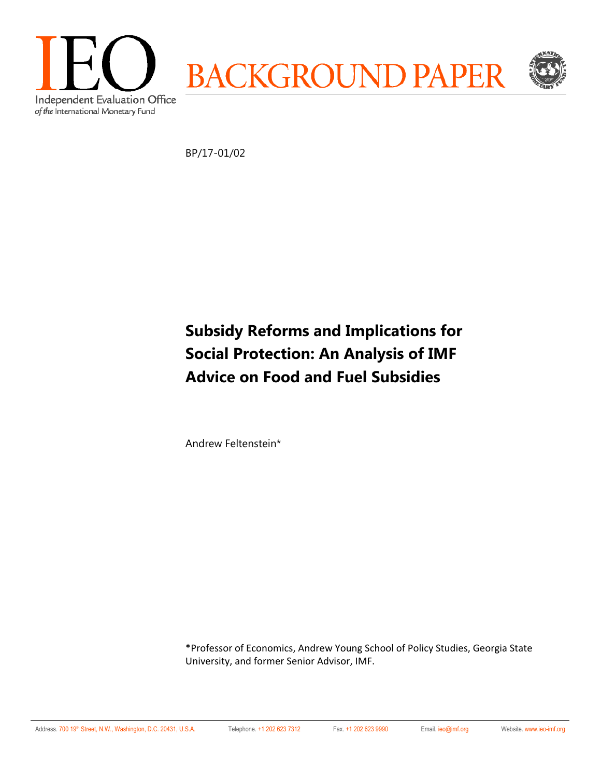

BP/17-01/02

# **Subsidy Reforms and Implications for Social Protection: An Analysis of IMF Advice on Food and Fuel Subsidies**

Andrew Feltenstein\*

\*Professor of Economics, Andrew Young School of Policy Studies, Georgia State University, and former Senior Advisor, IMF.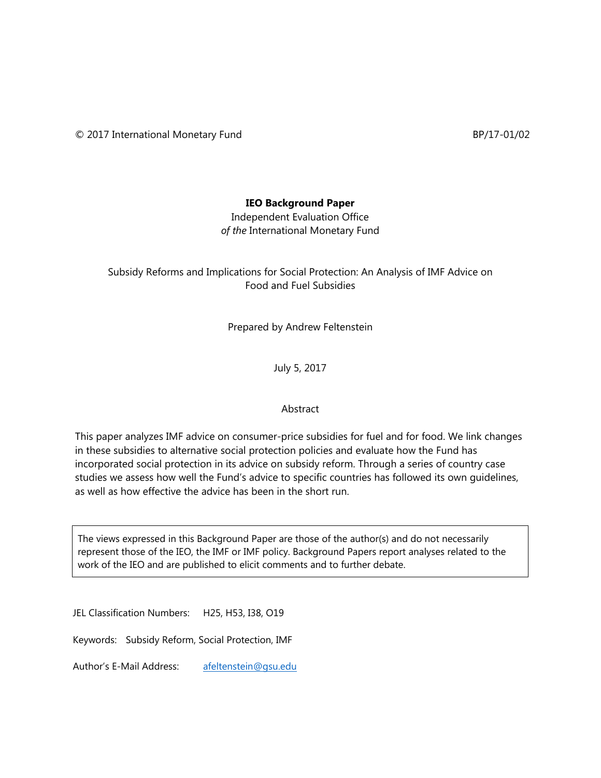## **IEO Background Paper**

Independent Evaluation Office *of the* International Monetary Fund

## Subsidy Reforms and Implications for Social Protection: An Analysis of IMF Advice on Food and Fuel Subsidies

Prepared by Andrew Feltenstein

July 5, 2017

#### Abstract

This paper analyzes IMF advice on consumer-price subsidies for fuel and for food. We link changes in these subsidies to alternative social protection policies and evaluate how the Fund has incorporated social protection in its advice on subsidy reform. Through a series of country case studies we assess how well the Fund's advice to specific countries has followed its own guidelines, as well as how effective the advice has been in the short run.

The views expressed in this Background Paper are those of the author(s) and do not necessarily represent those of the IEO, the IMF or IMF policy. Background Papers report analyses related to the work of the IEO and are published to elicit comments and to further debate.

JEL Classification Numbers: H25, H53, I38, O19

Keywords: Subsidy Reform, Social Protection, IMF

Author's E-Mail Address: afeltenstein@gsu.edu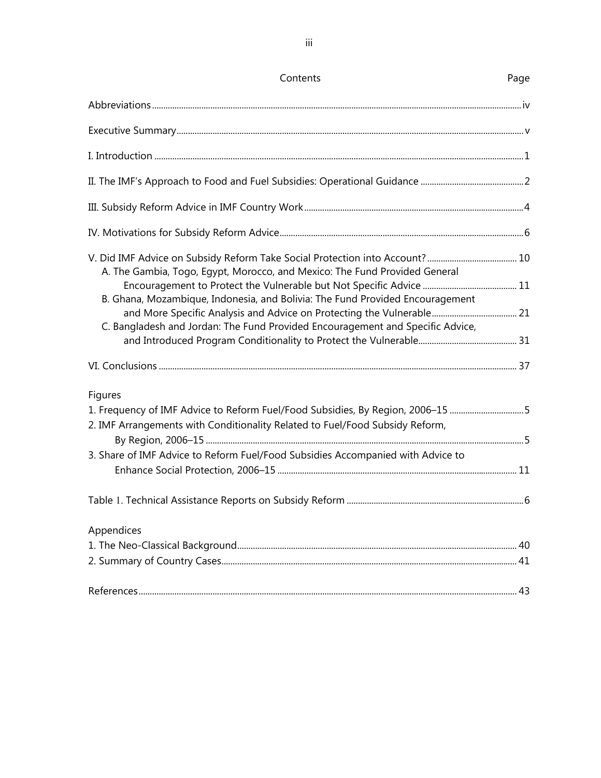| Contents                                                                                                                                                       | Page |
|----------------------------------------------------------------------------------------------------------------------------------------------------------------|------|
|                                                                                                                                                                |      |
|                                                                                                                                                                |      |
|                                                                                                                                                                |      |
|                                                                                                                                                                |      |
|                                                                                                                                                                |      |
|                                                                                                                                                                |      |
| A. The Gambia, Togo, Egypt, Morocco, and Mexico: The Fund Provided General                                                                                     |      |
| B. Ghana, Mozambique, Indonesia, and Bolivia: The Fund Provided Encouragement                                                                                  |      |
| C. Bangladesh and Jordan: The Fund Provided Encouragement and Specific Advice,                                                                                 |      |
|                                                                                                                                                                |      |
| <b>Figures</b>                                                                                                                                                 |      |
| 1. Frequency of IMF Advice to Reform Fuel/Food Subsidies, By Region, 2006-15 5<br>2. IMF Arrangements with Conditionality Related to Fuel/Food Subsidy Reform, |      |
|                                                                                                                                                                |      |
| 3. Share of IMF Advice to Reform Fuel/Food Subsidies Accompanied with Advice to                                                                                |      |
|                                                                                                                                                                |      |
| Appendices                                                                                                                                                     |      |
|                                                                                                                                                                | 40   |
|                                                                                                                                                                | 41   |
|                                                                                                                                                                | 43   |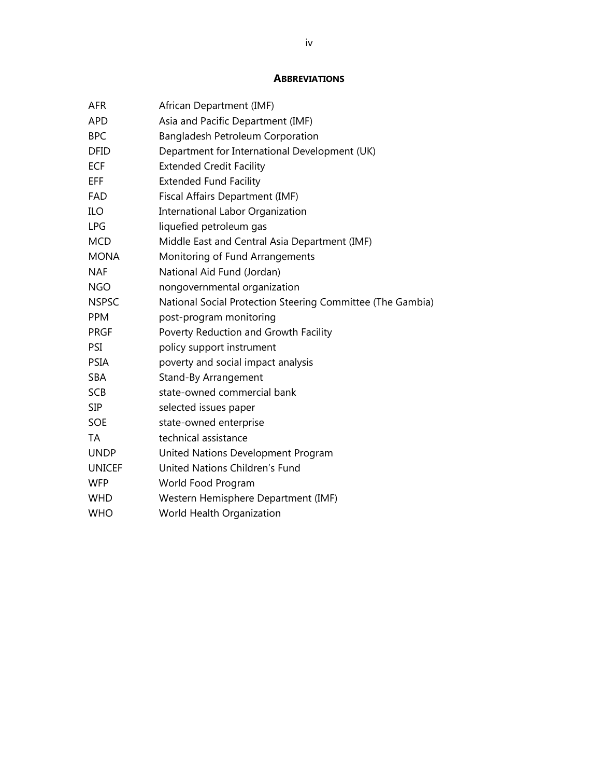#### **ABBREVIATIONS**

| <b>AFR</b>    | African Department (IMF)                                   |
|---------------|------------------------------------------------------------|
| <b>APD</b>    | Asia and Pacific Department (IMF)                          |
| <b>BPC</b>    | <b>Bangladesh Petroleum Corporation</b>                    |
| <b>DFID</b>   | Department for International Development (UK)              |
| <b>ECF</b>    | <b>Extended Credit Facility</b>                            |
| EFF           | <b>Extended Fund Facility</b>                              |
| <b>FAD</b>    | Fiscal Affairs Department (IMF)                            |
| ILO           | International Labor Organization                           |
| <b>LPG</b>    | liquefied petroleum gas                                    |
| <b>MCD</b>    | Middle East and Central Asia Department (IMF)              |
| <b>MONA</b>   | Monitoring of Fund Arrangements                            |
| <b>NAF</b>    | National Aid Fund (Jordan)                                 |
| <b>NGO</b>    | nongovernmental organization                               |
| <b>NSPSC</b>  | National Social Protection Steering Committee (The Gambia) |
| <b>PPM</b>    | post-program monitoring                                    |
| <b>PRGF</b>   | Poverty Reduction and Growth Facility                      |
| PSI           | policy support instrument                                  |
| <b>PSIA</b>   | poverty and social impact analysis                         |
| <b>SBA</b>    | Stand-By Arrangement                                       |
| <b>SCB</b>    | state-owned commercial bank                                |
| <b>SIP</b>    | selected issues paper                                      |
| <b>SOE</b>    | state-owned enterprise                                     |
| TA            | technical assistance                                       |
| <b>UNDP</b>   | United Nations Development Program                         |
| <b>UNICEF</b> | United Nations Children's Fund                             |
| <b>WFP</b>    | World Food Program                                         |
| <b>WHD</b>    | Western Hemisphere Department (IMF)                        |
| <b>WHO</b>    | World Health Organization                                  |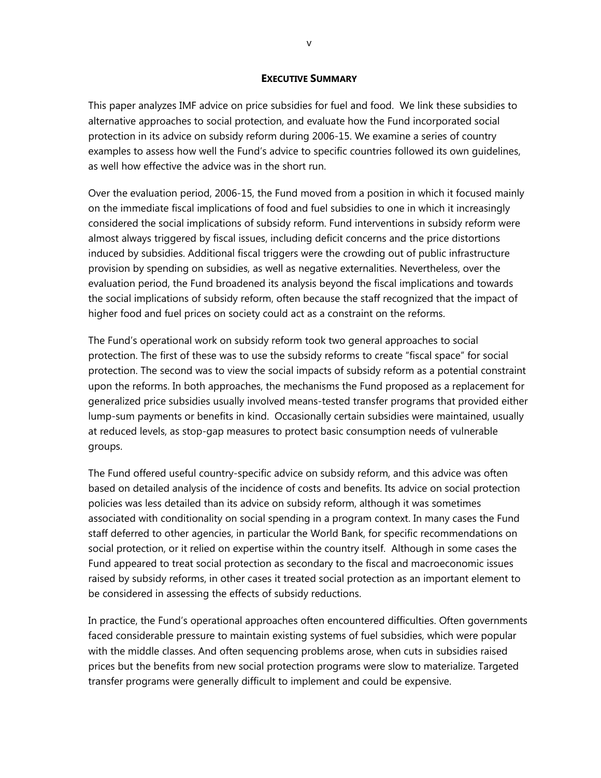#### **EXECUTIVE SUMMARY**

This paper analyzes IMF advice on price subsidies for fuel and food. We link these subsidies to alternative approaches to social protection, and evaluate how the Fund incorporated social protection in its advice on subsidy reform during 2006-15. We examine a series of country examples to assess how well the Fund's advice to specific countries followed its own guidelines, as well how effective the advice was in the short run.

Over the evaluation period, 2006-15, the Fund moved from a position in which it focused mainly on the immediate fiscal implications of food and fuel subsidies to one in which it increasingly considered the social implications of subsidy reform. Fund interventions in subsidy reform were almost always triggered by fiscal issues, including deficit concerns and the price distortions induced by subsidies. Additional fiscal triggers were the crowding out of public infrastructure provision by spending on subsidies, as well as negative externalities. Nevertheless, over the evaluation period, the Fund broadened its analysis beyond the fiscal implications and towards the social implications of subsidy reform, often because the staff recognized that the impact of higher food and fuel prices on society could act as a constraint on the reforms.

The Fund's operational work on subsidy reform took two general approaches to social protection. The first of these was to use the subsidy reforms to create "fiscal space" for social protection. The second was to view the social impacts of subsidy reform as a potential constraint upon the reforms. In both approaches, the mechanisms the Fund proposed as a replacement for generalized price subsidies usually involved means-tested transfer programs that provided either lump-sum payments or benefits in kind. Occasionally certain subsidies were maintained, usually at reduced levels, as stop-gap measures to protect basic consumption needs of vulnerable groups.

The Fund offered useful country-specific advice on subsidy reform, and this advice was often based on detailed analysis of the incidence of costs and benefits. Its advice on social protection policies was less detailed than its advice on subsidy reform, although it was sometimes associated with conditionality on social spending in a program context. In many cases the Fund staff deferred to other agencies, in particular the World Bank, for specific recommendations on social protection, or it relied on expertise within the country itself. Although in some cases the Fund appeared to treat social protection as secondary to the fiscal and macroeconomic issues raised by subsidy reforms, in other cases it treated social protection as an important element to be considered in assessing the effects of subsidy reductions.

In practice, the Fund's operational approaches often encountered difficulties. Often governments faced considerable pressure to maintain existing systems of fuel subsidies, which were popular with the middle classes. And often sequencing problems arose, when cuts in subsidies raised prices but the benefits from new social protection programs were slow to materialize. Targeted transfer programs were generally difficult to implement and could be expensive.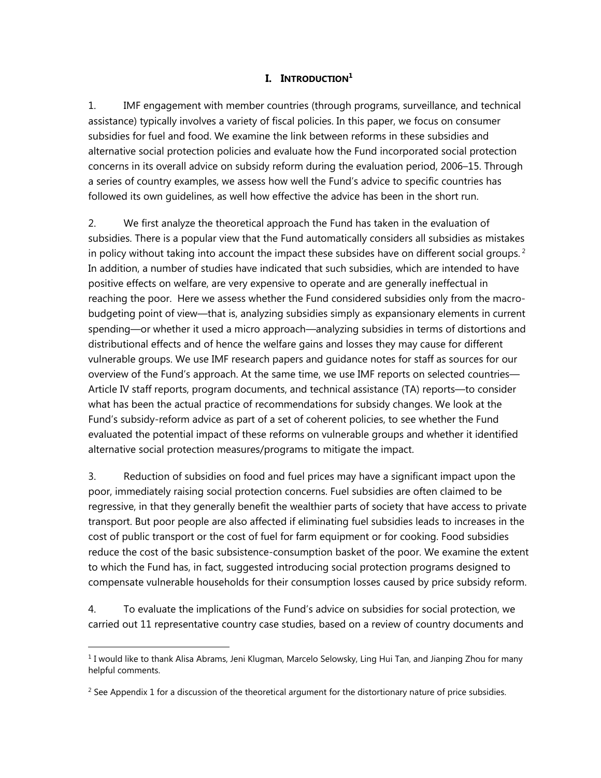#### **I. INTRODUCTION**<sup>1</sup>

1. IMF engagement with member countries (through programs, surveillance, and technical assistance) typically involves a variety of fiscal policies. In this paper, we focus on consumer subsidies for fuel and food. We examine the link between reforms in these subsidies and alternative social protection policies and evaluate how the Fund incorporated social protection concerns in its overall advice on subsidy reform during the evaluation period, 2006–15. Through a series of country examples, we assess how well the Fund's advice to specific countries has followed its own guidelines, as well how effective the advice has been in the short run.

2. We first analyze the theoretical approach the Fund has taken in the evaluation of subsidies. There is a popular view that the Fund automatically considers all subsidies as mistakes in policy without taking into account the impact these subsides have on different social groups.<sup>2</sup> In addition, a number of studies have indicated that such subsidies, which are intended to have positive effects on welfare, are very expensive to operate and are generally ineffectual in reaching the poor. Here we assess whether the Fund considered subsidies only from the macrobudgeting point of view—that is, analyzing subsidies simply as expansionary elements in current spending—or whether it used a micro approach—analyzing subsidies in terms of distortions and distributional effects and of hence the welfare gains and losses they may cause for different vulnerable groups. We use IMF research papers and guidance notes for staff as sources for our overview of the Fund's approach. At the same time, we use IMF reports on selected countries— Article IV staff reports, program documents, and technical assistance (TA) reports—to consider what has been the actual practice of recommendations for subsidy changes. We look at the Fund's subsidy-reform advice as part of a set of coherent policies, to see whether the Fund evaluated the potential impact of these reforms on vulnerable groups and whether it identified alternative social protection measures/programs to mitigate the impact.

3. Reduction of subsidies on food and fuel prices may have a significant impact upon the poor, immediately raising social protection concerns. Fuel subsidies are often claimed to be regressive, in that they generally benefit the wealthier parts of society that have access to private transport. But poor people are also affected if eliminating fuel subsidies leads to increases in the cost of public transport or the cost of fuel for farm equipment or for cooking. Food subsidies reduce the cost of the basic subsistence-consumption basket of the poor. We examine the extent to which the Fund has, in fact, suggested introducing social protection programs designed to compensate vulnerable households for their consumption losses caused by price subsidy reform.

4. To evaluate the implications of the Fund's advice on subsidies for social protection, we carried out 11 representative country case studies, based on a review of country documents and

<sup>&</sup>lt;sup>1</sup> I would like to thank Alisa Abrams, Jeni Klugman, Marcelo Selowsky, Ling Hui Tan, and Jianping Zhou for many helpful comments.

 $<sup>2</sup>$  See Appendix 1 for a discussion of the theoretical argument for the distortionary nature of price subsidies.</sup>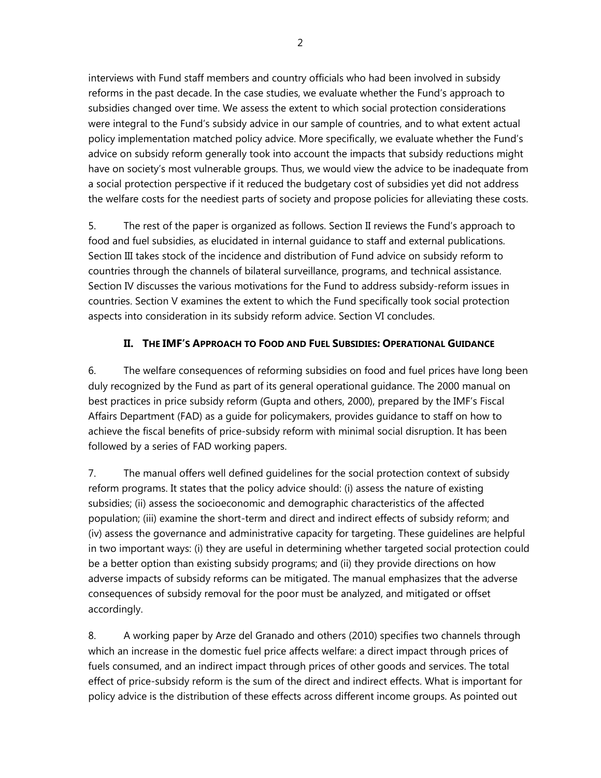interviews with Fund staff members and country officials who had been involved in subsidy reforms in the past decade. In the case studies, we evaluate whether the Fund's approach to subsidies changed over time. We assess the extent to which social protection considerations were integral to the Fund's subsidy advice in our sample of countries, and to what extent actual policy implementation matched policy advice. More specifically, we evaluate whether the Fund's advice on subsidy reform generally took into account the impacts that subsidy reductions might have on society's most vulnerable groups. Thus, we would view the advice to be inadequate from a social protection perspective if it reduced the budgetary cost of subsidies yet did not address the welfare costs for the neediest parts of society and propose policies for alleviating these costs.

5. The rest of the paper is organized as follows. Section II reviews the Fund's approach to food and fuel subsidies, as elucidated in internal guidance to staff and external publications. Section III takes stock of the incidence and distribution of Fund advice on subsidy reform to countries through the channels of bilateral surveillance, programs, and technical assistance. Section IV discusses the various motivations for the Fund to address subsidy-reform issues in countries. Section V examines the extent to which the Fund specifically took social protection aspects into consideration in its subsidy reform advice. Section VI concludes.

# **II. THE IMF'S APPROACH TO FOOD AND FUEL SUBSIDIES: OPERATIONAL GUIDANCE**

6. The welfare consequences of reforming subsidies on food and fuel prices have long been duly recognized by the Fund as part of its general operational guidance. The 2000 manual on best practices in price subsidy reform (Gupta and others, 2000), prepared by the IMF's Fiscal Affairs Department (FAD) as a guide for policymakers, provides guidance to staff on how to achieve the fiscal benefits of price-subsidy reform with minimal social disruption. It has been followed by a series of FAD working papers.

7. The manual offers well defined guidelines for the social protection context of subsidy reform programs. It states that the policy advice should: (i) assess the nature of existing subsidies; (ii) assess the socioeconomic and demographic characteristics of the affected population; (iii) examine the short-term and direct and indirect effects of subsidy reform; and (iv) assess the governance and administrative capacity for targeting. These guidelines are helpful in two important ways: (i) they are useful in determining whether targeted social protection could be a better option than existing subsidy programs; and (ii) they provide directions on how adverse impacts of subsidy reforms can be mitigated. The manual emphasizes that the adverse consequences of subsidy removal for the poor must be analyzed, and mitigated or offset accordingly.

8. A working paper by Arze del Granado and others (2010) specifies two channels through which an increase in the domestic fuel price affects welfare: a direct impact through prices of fuels consumed, and an indirect impact through prices of other goods and services. The total effect of price-subsidy reform is the sum of the direct and indirect effects. What is important for policy advice is the distribution of these effects across different income groups. As pointed out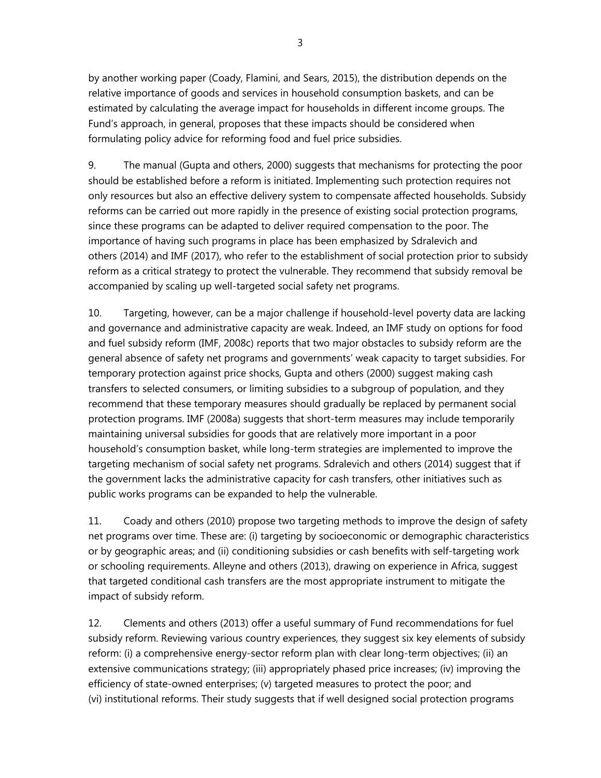by another working paper (Coady, Flamini, and Sears, 2015), the distribution depends on the relative importance of goods and services in household consumption baskets, and can be estimated by calculating the average impact for households in different income groups. The Fund's approach, in general, proposes that these impacts should be considered when formulating policy advice for reforming food and fuel price subsidies.

9. The manual (Gupta and others, 2000) suggests that mechanisms for protecting the poor should be established before a reform is initiated. Implementing such protection requires not only resources but also an effective delivery system to compensate affected households. Subsidy reforms can be carried out more rapidly in the presence of existing social protection programs, since these programs can be adapted to deliver required compensation to the poor. The importance of having such programs in place has been emphasized by Sdralevich and others (2014) and IMF (2017), who refer to the establishment of social protection prior to subsidy reform as a critical strategy to protect the vulnerable. They recommend that subsidy removal be accompanied by scaling up well-targeted social safety net programs.

10. Targeting, however, can be a major challenge if household-level poverty data are lacking and governance and administrative capacity are weak. Indeed, an IMF study on options for food and fuel subsidy reform (IMF, 2008c) reports that two major obstacles to subsidy reform are the general absence of safety net programs and governments' weak capacity to target subsidies. For temporary protection against price shocks, Gupta and others (2000) suggest making cash transfers to selected consumers, or limiting subsidies to a subgroup of population, and they recommend that these temporary measures should gradually be replaced by permanent social protection programs. IMF (2008a) suggests that short-term measures may include temporarily maintaining universal subsidies for goods that are relatively more important in a poor household's consumption basket, while long-term strategies are implemented to improve the targeting mechanism of social safety net programs. Sdralevich and others (2014) suggest that if the government lacks the administrative capacity for cash transfers, other initiatives such as public works programs can be expanded to help the vulnerable.

11. Coady and others (2010) propose two targeting methods to improve the design of safety net programs over time. These are: (i) targeting by socioeconomic or demographic characteristics or by geographic areas; and (ii) conditioning subsidies or cash benefits with self-targeting work or schooling requirements. Alleyne and others (2013), drawing on experience in Africa, suggest that targeted conditional cash transfers are the most appropriate instrument to mitigate the impact of subsidy reform.

12. Clements and others (2013) offer a useful summary of Fund recommendations for fuel subsidy reform. Reviewing various country experiences, they suggest six key elements of subsidy reform: (i) a comprehensive energy-sector reform plan with clear long-term objectives; (ii) an extensive communications strategy; (iii) appropriately phased price increases; (iv) improving the efficiency of state-owned enterprises; (v) targeted measures to protect the poor; and (vi) institutional reforms. Their study suggests that if well designed social protection programs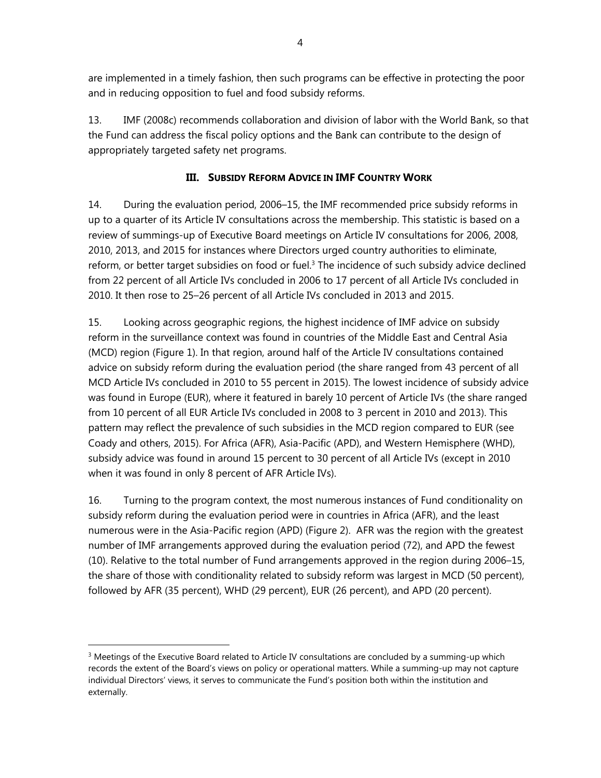are implemented in a timely fashion, then such programs can be effective in protecting the poor and in reducing opposition to fuel and food subsidy reforms.

13. IMF (2008c) recommends collaboration and division of labor with the World Bank, so that the Fund can address the fiscal policy options and the Bank can contribute to the design of appropriately targeted safety net programs.

## **III. SUBSIDY REFORM ADVICE IN IMF COUNTRY WORK**

14. During the evaluation period, 2006–15, the IMF recommended price subsidy reforms in up to a quarter of its Article IV consultations across the membership. This statistic is based on a review of summings-up of Executive Board meetings on Article IV consultations for 2006, 2008, 2010, 2013, and 2015 for instances where Directors urged country authorities to eliminate, reform, or better target subsidies on food or fuel.<sup>3</sup> The incidence of such subsidy advice declined from 22 percent of all Article IVs concluded in 2006 to 17 percent of all Article IVs concluded in 2010. It then rose to 25–26 percent of all Article IVs concluded in 2013 and 2015.

15. Looking across geographic regions, the highest incidence of IMF advice on subsidy reform in the surveillance context was found in countries of the Middle East and Central Asia (MCD) region (Figure 1). In that region, around half of the Article IV consultations contained advice on subsidy reform during the evaluation period (the share ranged from 43 percent of all MCD Article IVs concluded in 2010 to 55 percent in 2015). The lowest incidence of subsidy advice was found in Europe (EUR), where it featured in barely 10 percent of Article IVs (the share ranged from 10 percent of all EUR Article IVs concluded in 2008 to 3 percent in 2010 and 2013). This pattern may reflect the prevalence of such subsidies in the MCD region compared to EUR (see Coady and others, 2015). For Africa (AFR), Asia-Pacific (APD), and Western Hemisphere (WHD), subsidy advice was found in around 15 percent to 30 percent of all Article IVs (except in 2010 when it was found in only 8 percent of AFR Article IVs).

16. Turning to the program context, the most numerous instances of Fund conditionality on subsidy reform during the evaluation period were in countries in Africa (AFR), and the least numerous were in the Asia-Pacific region (APD) (Figure 2). AFR was the region with the greatest number of IMF arrangements approved during the evaluation period (72), and APD the fewest (10). Relative to the total number of Fund arrangements approved in the region during 2006–15, the share of those with conditionality related to subsidy reform was largest in MCD (50 percent), followed by AFR (35 percent), WHD (29 percent), EUR (26 percent), and APD (20 percent).

<sup>&</sup>lt;sup>3</sup> Meetings of the Executive Board related to Article IV consultations are concluded by a summing-up which records the extent of the Board's views on policy or operational matters. While a summing-up may not capture individual Directors' views, it serves to communicate the Fund's position both within the institution and externally.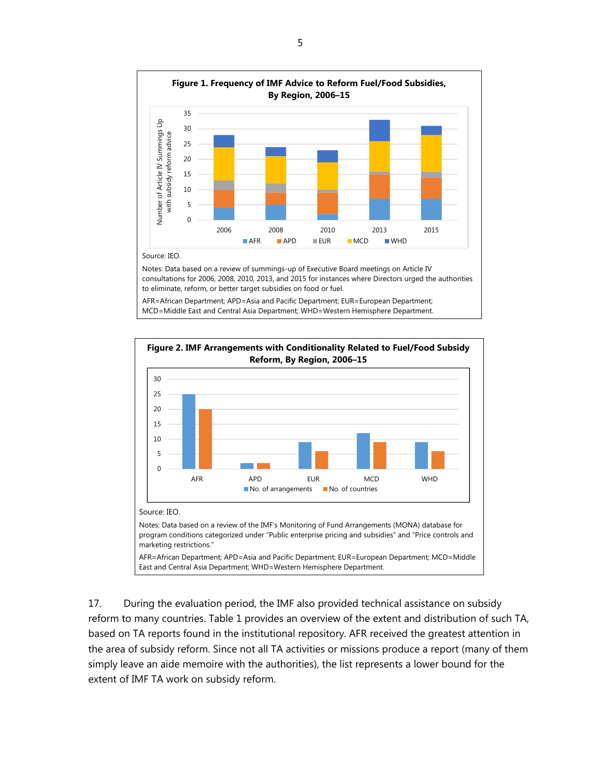

MCD=Middle East and Central Asia Department; WHD=Western Hemisphere Department.



17. During the evaluation period, the IMF also provided technical assistance on subsidy reform to many countries. Table 1 provides an overview of the extent and distribution of such TA, based on TA reports found in the institutional repository. AFR received the greatest attention in the area of subsidy reform. Since not all TA activities or missions produce a report (many of them simply leave an aide memoire with the authorities), the list represents a lower bound for the extent of IMF TA work on subsidy reform.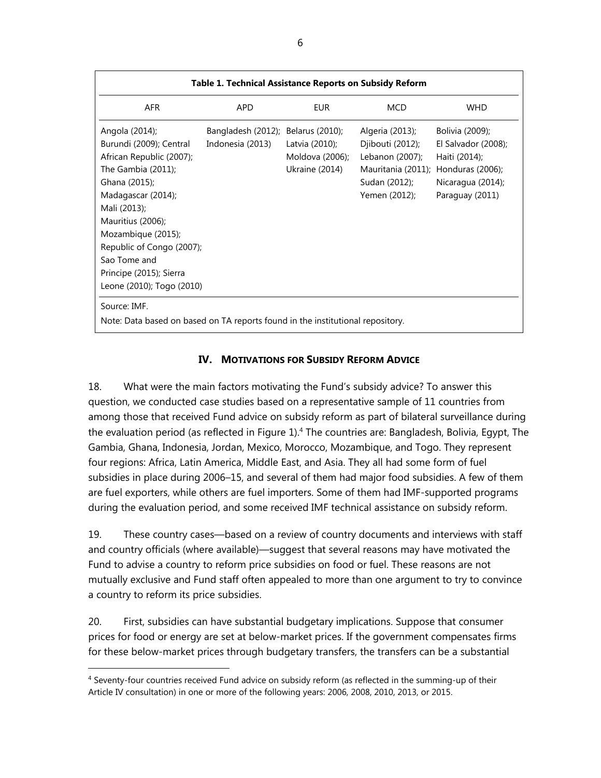| Table 1. Technical Assistance Reports on Subsidy Reform                                                                                                                                                                                                                                            |                                                        |                                                     |                                                                                                                                 |                                                                                                 |
|----------------------------------------------------------------------------------------------------------------------------------------------------------------------------------------------------------------------------------------------------------------------------------------------------|--------------------------------------------------------|-----------------------------------------------------|---------------------------------------------------------------------------------------------------------------------------------|-------------------------------------------------------------------------------------------------|
| AFR                                                                                                                                                                                                                                                                                                | APD.                                                   | EUR.                                                | <b>MCD</b>                                                                                                                      | <b>WHD</b>                                                                                      |
| Angola (2014);<br>Burundi (2009); Central<br>African Republic (2007);<br>The Gambia (2011);<br>Ghana (2015);<br>Madagascar (2014);<br>Mali (2013);<br>Mauritius (2006);<br>Mozambique (2015);<br>Republic of Congo (2007);<br>Sao Tome and<br>Principe (2015); Sierra<br>Leone (2010); Togo (2010) | Bangladesh (2012); Belarus (2010);<br>Indonesia (2013) | Latvia (2010);<br>Moldova (2006);<br>Ukraine (2014) | Algeria (2013);<br>Djibouti (2012);<br>Lebanon (2007);<br>Mauritania (2011); Honduras (2006);<br>Sudan (2012);<br>Yemen (2012); | Bolivia (2009);<br>El Salvador (2008);<br>Haiti (2014);<br>Nicaragua (2014);<br>Paraguay (2011) |
| Source: IMF.<br>Note: Data based on based on TA reports found in the institutional repository.                                                                                                                                                                                                     |                                                        |                                                     |                                                                                                                                 |                                                                                                 |

## **IV. MOTIVATIONS FOR SUBSIDY REFORM ADVICE**

18. What were the main factors motivating the Fund's subsidy advice? To answer this question, we conducted case studies based on a representative sample of 11 countries from among those that received Fund advice on subsidy reform as part of bilateral surveillance during the evaluation period (as reflected in Figure 1).<sup>4</sup> The countries are: Bangladesh, Bolivia, Egypt, The Gambia, Ghana, Indonesia, Jordan, Mexico, Morocco, Mozambique, and Togo. They represent four regions: Africa, Latin America, Middle East, and Asia. They all had some form of fuel subsidies in place during 2006–15, and several of them had major food subsidies. A few of them are fuel exporters, while others are fuel importers. Some of them had IMF-supported programs during the evaluation period, and some received IMF technical assistance on subsidy reform.

19. These country cases—based on a review of country documents and interviews with staff and country officials (where available)—suggest that several reasons may have motivated the Fund to advise a country to reform price subsidies on food or fuel. These reasons are not mutually exclusive and Fund staff often appealed to more than one argument to try to convince a country to reform its price subsidies.

20. First, subsidies can have substantial budgetary implications. Suppose that consumer prices for food or energy are set at below-market prices. If the government compensates firms for these below-market prices through budgetary transfers, the transfers can be a substantial

<sup>4</sup> Seventy-four countries received Fund advice on subsidy reform (as reflected in the summing-up of their Article IV consultation) in one or more of the following years: 2006, 2008, 2010, 2013, or 2015.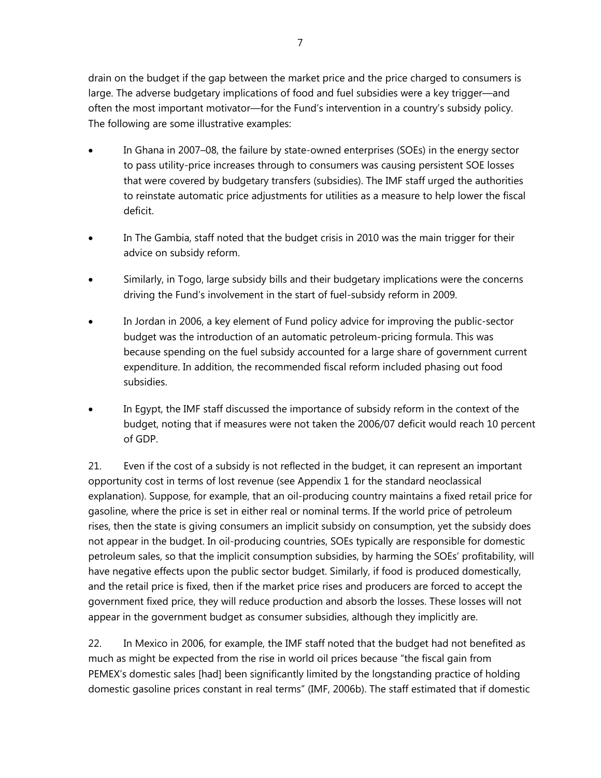drain on the budget if the gap between the market price and the price charged to consumers is large. The adverse budgetary implications of food and fuel subsidies were a key trigger—and often the most important motivator—for the Fund's intervention in a country's subsidy policy. The following are some illustrative examples:

- In Ghana in 2007–08, the failure by state-owned enterprises (SOEs) in the energy sector to pass utility-price increases through to consumers was causing persistent SOE losses that were covered by budgetary transfers (subsidies). The IMF staff urged the authorities to reinstate automatic price adjustments for utilities as a measure to help lower the fiscal deficit.
- In The Gambia, staff noted that the budget crisis in 2010 was the main trigger for their advice on subsidy reform.
- Similarly, in Togo, large subsidy bills and their budgetary implications were the concerns driving the Fund's involvement in the start of fuel-subsidy reform in 2009.
- In Jordan in 2006, a key element of Fund policy advice for improving the public-sector budget was the introduction of an automatic petroleum-pricing formula. This was because spending on the fuel subsidy accounted for a large share of government current expenditure. In addition, the recommended fiscal reform included phasing out food subsidies.
- In Egypt, the IMF staff discussed the importance of subsidy reform in the context of the budget, noting that if measures were not taken the 2006/07 deficit would reach 10 percent of GDP.

21. Even if the cost of a subsidy is not reflected in the budget, it can represent an important opportunity cost in terms of lost revenue (see Appendix 1 for the standard neoclassical explanation). Suppose, for example, that an oil-producing country maintains a fixed retail price for gasoline, where the price is set in either real or nominal terms. If the world price of petroleum rises, then the state is giving consumers an implicit subsidy on consumption, yet the subsidy does not appear in the budget. In oil-producing countries, SOEs typically are responsible for domestic petroleum sales, so that the implicit consumption subsidies, by harming the SOEs' profitability, will have negative effects upon the public sector budget. Similarly, if food is produced domestically, and the retail price is fixed, then if the market price rises and producers are forced to accept the government fixed price, they will reduce production and absorb the losses. These losses will not appear in the government budget as consumer subsidies, although they implicitly are.

22. In Mexico in 2006, for example, the IMF staff noted that the budget had not benefited as much as might be expected from the rise in world oil prices because "the fiscal gain from PEMEX's domestic sales [had] been significantly limited by the longstanding practice of holding domestic gasoline prices constant in real terms" (IMF, 2006b). The staff estimated that if domestic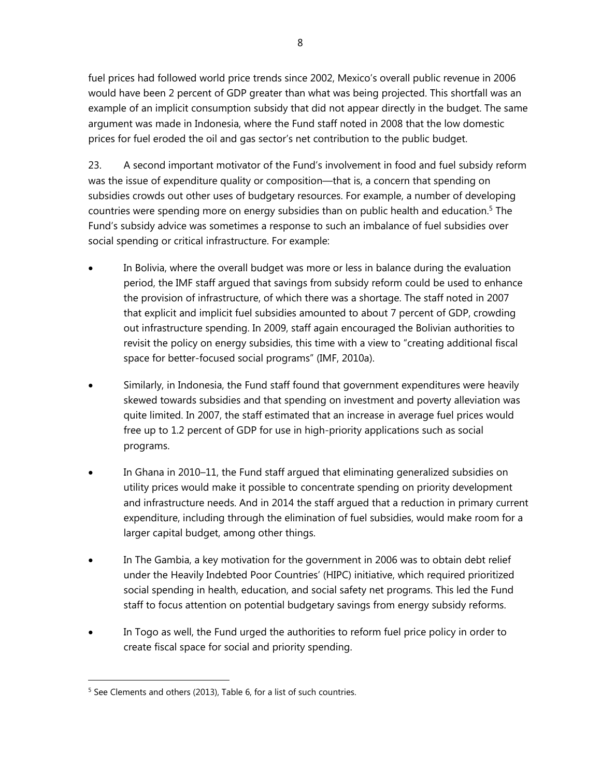fuel prices had followed world price trends since 2002, Mexico's overall public revenue in 2006 would have been 2 percent of GDP greater than what was being projected. This shortfall was an example of an implicit consumption subsidy that did not appear directly in the budget. The same argument was made in Indonesia, where the Fund staff noted in 2008 that the low domestic prices for fuel eroded the oil and gas sector's net contribution to the public budget.

23. A second important motivator of the Fund's involvement in food and fuel subsidy reform was the issue of expenditure quality or composition—that is, a concern that spending on subsidies crowds out other uses of budgetary resources. For example, a number of developing countries were spending more on energy subsidies than on public health and education.<sup>5</sup> The Fund's subsidy advice was sometimes a response to such an imbalance of fuel subsidies over social spending or critical infrastructure. For example:

- In Bolivia, where the overall budget was more or less in balance during the evaluation period, the IMF staff argued that savings from subsidy reform could be used to enhance the provision of infrastructure, of which there was a shortage. The staff noted in 2007 that explicit and implicit fuel subsidies amounted to about 7 percent of GDP, crowding out infrastructure spending. In 2009, staff again encouraged the Bolivian authorities to revisit the policy on energy subsidies, this time with a view to "creating additional fiscal space for better-focused social programs" (IMF, 2010a).
- Similarly, in Indonesia, the Fund staff found that government expenditures were heavily skewed towards subsidies and that spending on investment and poverty alleviation was quite limited. In 2007, the staff estimated that an increase in average fuel prices would free up to 1.2 percent of GDP for use in high-priority applications such as social programs.
- In Ghana in 2010–11, the Fund staff argued that eliminating generalized subsidies on utility prices would make it possible to concentrate spending on priority development and infrastructure needs. And in 2014 the staff argued that a reduction in primary current expenditure, including through the elimination of fuel subsidies, would make room for a larger capital budget, among other things.
- In The Gambia, a key motivation for the government in 2006 was to obtain debt relief under the Heavily Indebted Poor Countries' (HIPC) initiative, which required prioritized social spending in health, education, and social safety net programs. This led the Fund staff to focus attention on potential budgetary savings from energy subsidy reforms.
- In Togo as well, the Fund urged the authorities to reform fuel price policy in order to create fiscal space for social and priority spending.

<sup>&</sup>lt;sup>5</sup> See Clements and others (2013), Table 6, for a list of such countries.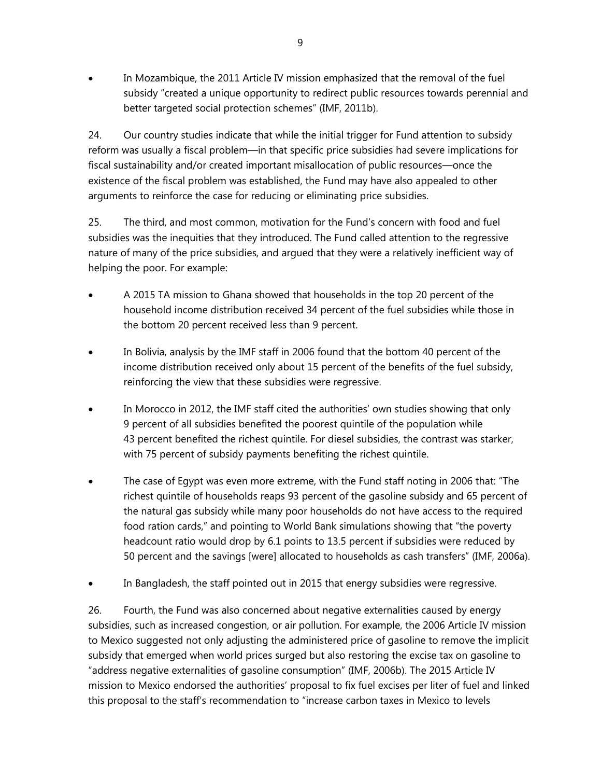In Mozambique, the 2011 Article IV mission emphasized that the removal of the fuel subsidy "created a unique opportunity to redirect public resources towards perennial and better targeted social protection schemes" (IMF, 2011b).

24. Our country studies indicate that while the initial trigger for Fund attention to subsidy reform was usually a fiscal problem—in that specific price subsidies had severe implications for fiscal sustainability and/or created important misallocation of public resources—once the existence of the fiscal problem was established, the Fund may have also appealed to other arguments to reinforce the case for reducing or eliminating price subsidies.

25. The third, and most common, motivation for the Fund's concern with food and fuel subsidies was the inequities that they introduced. The Fund called attention to the regressive nature of many of the price subsidies, and argued that they were a relatively inefficient way of helping the poor. For example:

- A 2015 TA mission to Ghana showed that households in the top 20 percent of the household income distribution received 34 percent of the fuel subsidies while those in the bottom 20 percent received less than 9 percent.
- In Bolivia, analysis by the IMF staff in 2006 found that the bottom 40 percent of the income distribution received only about 15 percent of the benefits of the fuel subsidy, reinforcing the view that these subsidies were regressive.
- In Morocco in 2012, the IMF staff cited the authorities' own studies showing that only 9 percent of all subsidies benefited the poorest quintile of the population while 43 percent benefited the richest quintile. For diesel subsidies, the contrast was starker, with 75 percent of subsidy payments benefiting the richest quintile.
- The case of Egypt was even more extreme, with the Fund staff noting in 2006 that: "The richest quintile of households reaps 93 percent of the gasoline subsidy and 65 percent of the natural gas subsidy while many poor households do not have access to the required food ration cards," and pointing to World Bank simulations showing that "the poverty headcount ratio would drop by 6.1 points to 13.5 percent if subsidies were reduced by 50 percent and the savings [were] allocated to households as cash transfers" (IMF, 2006a).
- In Bangladesh, the staff pointed out in 2015 that energy subsidies were regressive.

26. Fourth, the Fund was also concerned about negative externalities caused by energy subsidies, such as increased congestion, or air pollution. For example, the 2006 Article IV mission to Mexico suggested not only adjusting the administered price of gasoline to remove the implicit subsidy that emerged when world prices surged but also restoring the excise tax on gasoline to "address negative externalities of gasoline consumption" (IMF, 2006b). The 2015 Article IV mission to Mexico endorsed the authorities' proposal to fix fuel excises per liter of fuel and linked this proposal to the staff's recommendation to "increase carbon taxes in Mexico to levels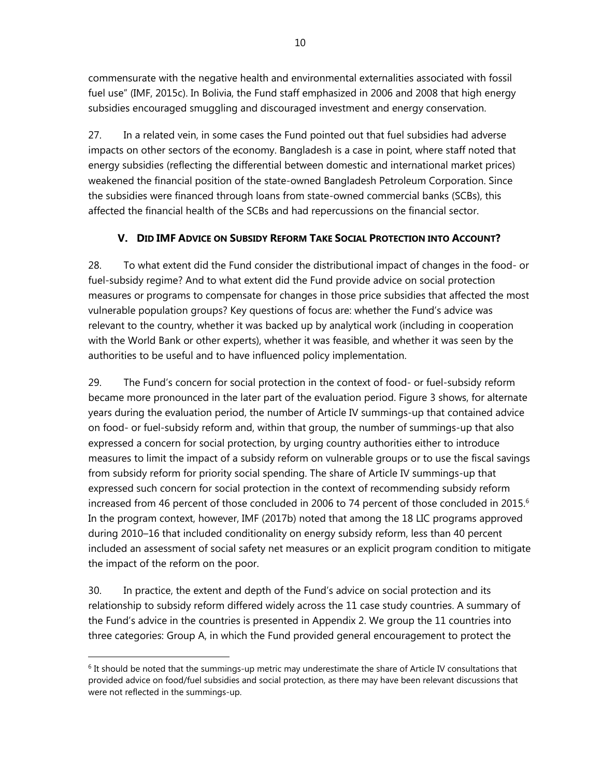commensurate with the negative health and environmental externalities associated with fossil fuel use" (IMF, 2015c). In Bolivia, the Fund staff emphasized in 2006 and 2008 that high energy subsidies encouraged smuggling and discouraged investment and energy conservation.

27. In a related vein, in some cases the Fund pointed out that fuel subsidies had adverse impacts on other sectors of the economy. Bangladesh is a case in point, where staff noted that energy subsidies (reflecting the differential between domestic and international market prices) weakened the financial position of the state-owned Bangladesh Petroleum Corporation. Since the subsidies were financed through loans from state-owned commercial banks (SCBs), this affected the financial health of the SCBs and had repercussions on the financial sector.

# **V. DID IMF ADVICE ON SUBSIDY REFORM TAKE SOCIAL PROTECTION INTO ACCOUNT?**

28. To what extent did the Fund consider the distributional impact of changes in the food- or fuel-subsidy regime? And to what extent did the Fund provide advice on social protection measures or programs to compensate for changes in those price subsidies that affected the most vulnerable population groups? Key questions of focus are: whether the Fund's advice was relevant to the country, whether it was backed up by analytical work (including in cooperation with the World Bank or other experts), whether it was feasible, and whether it was seen by the authorities to be useful and to have influenced policy implementation.

29. The Fund's concern for social protection in the context of food- or fuel-subsidy reform became more pronounced in the later part of the evaluation period. Figure 3 shows, for alternate years during the evaluation period, the number of Article IV summings-up that contained advice on food- or fuel-subsidy reform and, within that group, the number of summings-up that also expressed a concern for social protection, by urging country authorities either to introduce measures to limit the impact of a subsidy reform on vulnerable groups or to use the fiscal savings from subsidy reform for priority social spending. The share of Article IV summings-up that expressed such concern for social protection in the context of recommending subsidy reform increased from 46 percent of those concluded in 2006 to 74 percent of those concluded in 2015.<sup>6</sup> In the program context, however, IMF (2017b) noted that among the 18 LIC programs approved during 2010–16 that included conditionality on energy subsidy reform, less than 40 percent included an assessment of social safety net measures or an explicit program condition to mitigate the impact of the reform on the poor.

30. In practice, the extent and depth of the Fund's advice on social protection and its relationship to subsidy reform differed widely across the 11 case study countries. A summary of the Fund's advice in the countries is presented in Appendix 2. We group the 11 countries into three categories: Group A, in which the Fund provided general encouragement to protect the

 $6$  It should be noted that the summings-up metric may underestimate the share of Article IV consultations that provided advice on food/fuel subsidies and social protection, as there may have been relevant discussions that were not reflected in the summings-up.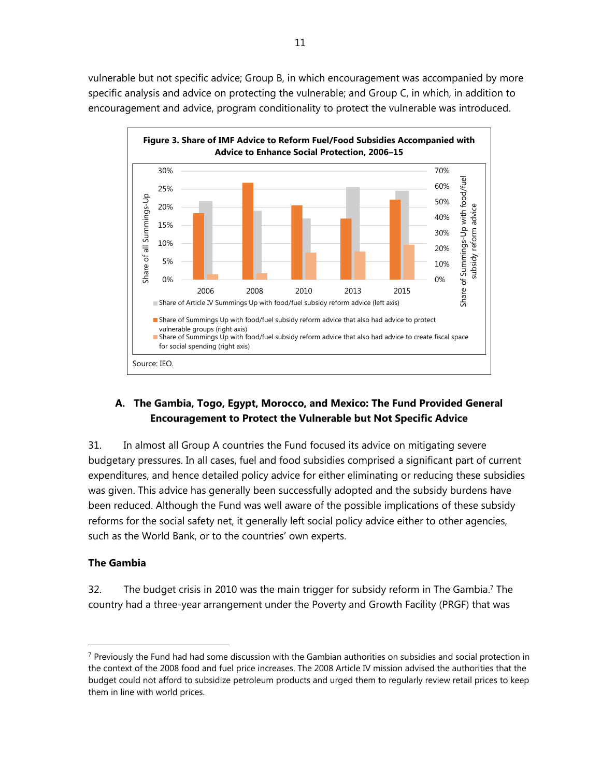vulnerable but not specific advice; Group B, in which encouragement was accompanied by more specific analysis and advice on protecting the vulnerable; and Group C, in which, in addition to encouragement and advice, program conditionality to protect the vulnerable was introduced.



## **A. The Gambia, Togo, Egypt, Morocco, and Mexico: The Fund Provided General Encouragement to Protect the Vulnerable but Not Specific Advice**

31. In almost all Group A countries the Fund focused its advice on mitigating severe budgetary pressures. In all cases, fuel and food subsidies comprised a significant part of current expenditures, and hence detailed policy advice for either eliminating or reducing these subsidies was given. This advice has generally been successfully adopted and the subsidy burdens have been reduced. Although the Fund was well aware of the possible implications of these subsidy reforms for the social safety net, it generally left social policy advice either to other agencies, such as the World Bank, or to the countries' own experts.

#### **The Gambia**

 $\overline{a}$ 

32. The budget crisis in 2010 was the main trigger for subsidy reform in The Gambia.<sup>7</sup> The country had a three-year arrangement under the Poverty and Growth Facility (PRGF) that was

<sup>&</sup>lt;sup>7</sup> Previously the Fund had had some discussion with the Gambian authorities on subsidies and social protection in the context of the 2008 food and fuel price increases. The 2008 Article IV mission advised the authorities that the budget could not afford to subsidize petroleum products and urged them to regularly review retail prices to keep them in line with world prices.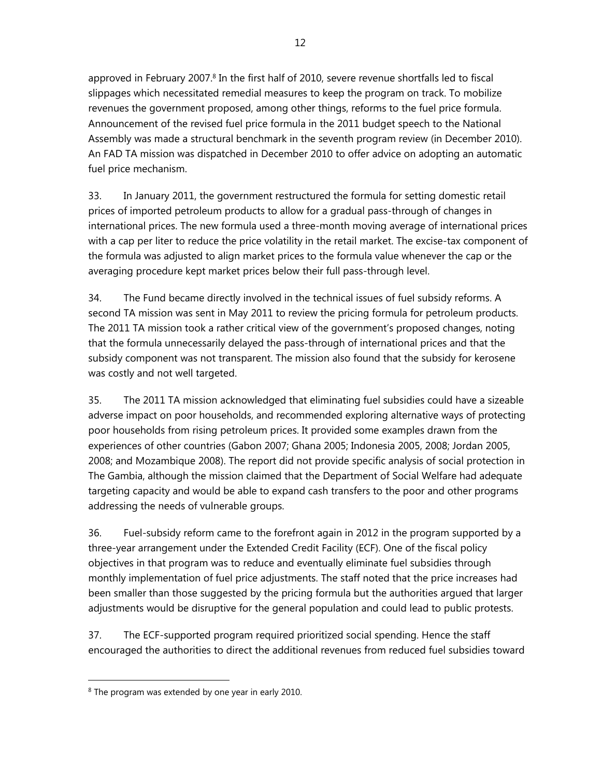approved in February 2007.<sup>8</sup> In the first half of 2010, severe revenue shortfalls led to fiscal slippages which necessitated remedial measures to keep the program on track. To mobilize revenues the government proposed, among other things, reforms to the fuel price formula. Announcement of the revised fuel price formula in the 2011 budget speech to the National Assembly was made a structural benchmark in the seventh program review (in December 2010). An FAD TA mission was dispatched in December 2010 to offer advice on adopting an automatic fuel price mechanism.

33. In January 2011, the government restructured the formula for setting domestic retail prices of imported petroleum products to allow for a gradual pass-through of changes in international prices. The new formula used a three-month moving average of international prices with a cap per liter to reduce the price volatility in the retail market. The excise-tax component of the formula was adjusted to align market prices to the formula value whenever the cap or the averaging procedure kept market prices below their full pass-through level.

34. The Fund became directly involved in the technical issues of fuel subsidy reforms. A second TA mission was sent in May 2011 to review the pricing formula for petroleum products. The 2011 TA mission took a rather critical view of the government's proposed changes, noting that the formula unnecessarily delayed the pass-through of international prices and that the subsidy component was not transparent. The mission also found that the subsidy for kerosene was costly and not well targeted.

35. The 2011 TA mission acknowledged that eliminating fuel subsidies could have a sizeable adverse impact on poor households, and recommended exploring alternative ways of protecting poor households from rising petroleum prices. It provided some examples drawn from the experiences of other countries (Gabon 2007; Ghana 2005; Indonesia 2005, 2008; Jordan 2005, 2008; and Mozambique 2008). The report did not provide specific analysis of social protection in The Gambia, although the mission claimed that the Department of Social Welfare had adequate targeting capacity and would be able to expand cash transfers to the poor and other programs addressing the needs of vulnerable groups.

36. Fuel-subsidy reform came to the forefront again in 2012 in the program supported by a three-year arrangement under the Extended Credit Facility (ECF). One of the fiscal policy objectives in that program was to reduce and eventually eliminate fuel subsidies through monthly implementation of fuel price adjustments. The staff noted that the price increases had been smaller than those suggested by the pricing formula but the authorities argued that larger adjustments would be disruptive for the general population and could lead to public protests.

37. The ECF-supported program required prioritized social spending. Hence the staff encouraged the authorities to direct the additional revenues from reduced fuel subsidies toward

<sup>&</sup>lt;sup>8</sup> The program was extended by one year in early 2010.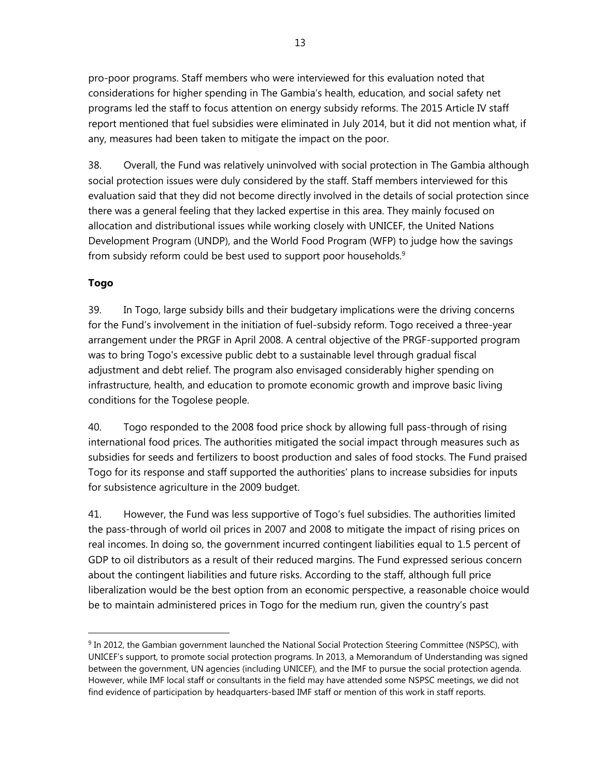pro-poor programs. Staff members who were interviewed for this evaluation noted that considerations for higher spending in The Gambia's health, education, and social safety net programs led the staff to focus attention on energy subsidy reforms. The 2015 Article IV staff report mentioned that fuel subsidies were eliminated in July 2014, but it did not mention what, if any, measures had been taken to mitigate the impact on the poor.

38. Overall, the Fund was relatively uninvolved with social protection in The Gambia although social protection issues were duly considered by the staff. Staff members interviewed for this evaluation said that they did not become directly involved in the details of social protection since there was a general feeling that they lacked expertise in this area. They mainly focused on allocation and distributional issues while working closely with UNICEF, the United Nations Development Program (UNDP), and the World Food Program (WFP) to judge how the savings from subsidy reform could be best used to support poor households.<sup>9</sup>

## **Togo**

 $\overline{a}$ 

39. In Togo, large subsidy bills and their budgetary implications were the driving concerns for the Fund's involvement in the initiation of fuel-subsidy reform. Togo received a three-year arrangement under the PRGF in April 2008. A central objective of the PRGF-supported program was to bring Togo's excessive public debt to a sustainable level through gradual fiscal adjustment and debt relief. The program also envisaged considerably higher spending on infrastructure, health, and education to promote economic growth and improve basic living conditions for the Togolese people.

40. Togo responded to the 2008 food price shock by allowing full pass-through of rising international food prices. The authorities mitigated the social impact through measures such as subsidies for seeds and fertilizers to boost production and sales of food stocks. The Fund praised Togo for its response and staff supported the authorities' plans to increase subsidies for inputs for subsistence agriculture in the 2009 budget.

41. However, the Fund was less supportive of Togo's fuel subsidies. The authorities limited the pass-through of world oil prices in 2007 and 2008 to mitigate the impact of rising prices on real incomes. In doing so, the government incurred contingent liabilities equal to 1.5 percent of GDP to oil distributors as a result of their reduced margins. The Fund expressed serious concern about the contingent liabilities and future risks. According to the staff, although full price liberalization would be the best option from an economic perspective, a reasonable choice would be to maintain administered prices in Togo for the medium run, given the country's past

<sup>9</sup> In 2012, the Gambian government launched the National Social Protection Steering Committee (NSPSC), with UNICEF's support, to promote social protection programs. In 2013, a Memorandum of Understanding was signed between the government, UN agencies (including UNICEF), and the IMF to pursue the social protection agenda. However, while IMF local staff or consultants in the field may have attended some NSPSC meetings, we did not find evidence of participation by headquarters-based IMF staff or mention of this work in staff reports.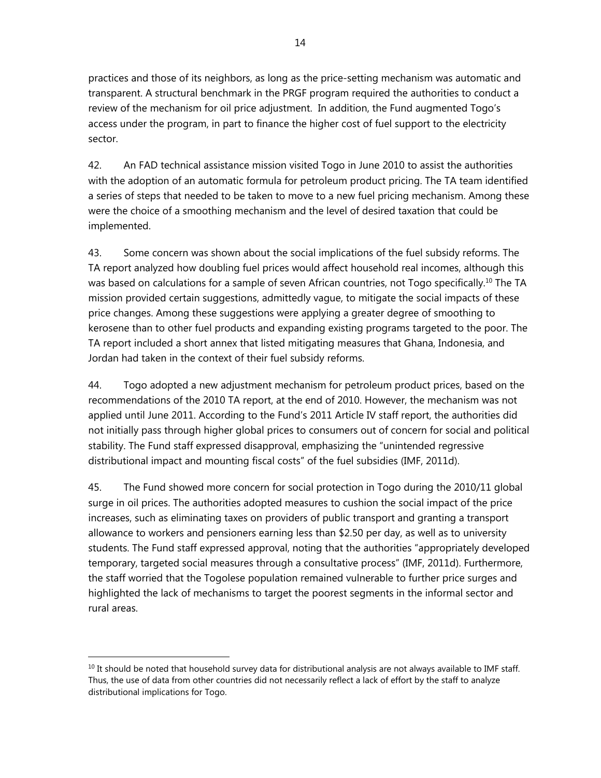practices and those of its neighbors, as long as the price-setting mechanism was automatic and transparent. A structural benchmark in the PRGF program required the authorities to conduct a review of the mechanism for oil price adjustment. In addition, the Fund augmented Togo's access under the program, in part to finance the higher cost of fuel support to the electricity sector.

42. An FAD technical assistance mission visited Togo in June 2010 to assist the authorities with the adoption of an automatic formula for petroleum product pricing. The TA team identified a series of steps that needed to be taken to move to a new fuel pricing mechanism. Among these were the choice of a smoothing mechanism and the level of desired taxation that could be implemented.

43. Some concern was shown about the social implications of the fuel subsidy reforms. The TA report analyzed how doubling fuel prices would affect household real incomes, although this was based on calculations for a sample of seven African countries, not Togo specifically.<sup>10</sup> The TA mission provided certain suggestions, admittedly vague, to mitigate the social impacts of these price changes. Among these suggestions were applying a greater degree of smoothing to kerosene than to other fuel products and expanding existing programs targeted to the poor. The TA report included a short annex that listed mitigating measures that Ghana, Indonesia, and Jordan had taken in the context of their fuel subsidy reforms.

44. Togo adopted a new adjustment mechanism for petroleum product prices, based on the recommendations of the 2010 TA report, at the end of 2010. However, the mechanism was not applied until June 2011. According to the Fund's 2011 Article IV staff report, the authorities did not initially pass through higher global prices to consumers out of concern for social and political stability. The Fund staff expressed disapproval, emphasizing the "unintended regressive distributional impact and mounting fiscal costs" of the fuel subsidies (IMF, 2011d).

45. The Fund showed more concern for social protection in Togo during the 2010/11 global surge in oil prices. The authorities adopted measures to cushion the social impact of the price increases, such as eliminating taxes on providers of public transport and granting a transport allowance to workers and pensioners earning less than \$2.50 per day, as well as to university students. The Fund staff expressed approval, noting that the authorities "appropriately developed temporary, targeted social measures through a consultative process" (IMF, 2011d). Furthermore, the staff worried that the Togolese population remained vulnerable to further price surges and highlighted the lack of mechanisms to target the poorest segments in the informal sector and rural areas.

 $10$  It should be noted that household survey data for distributional analysis are not always available to IMF staff. Thus, the use of data from other countries did not necessarily reflect a lack of effort by the staff to analyze distributional implications for Togo.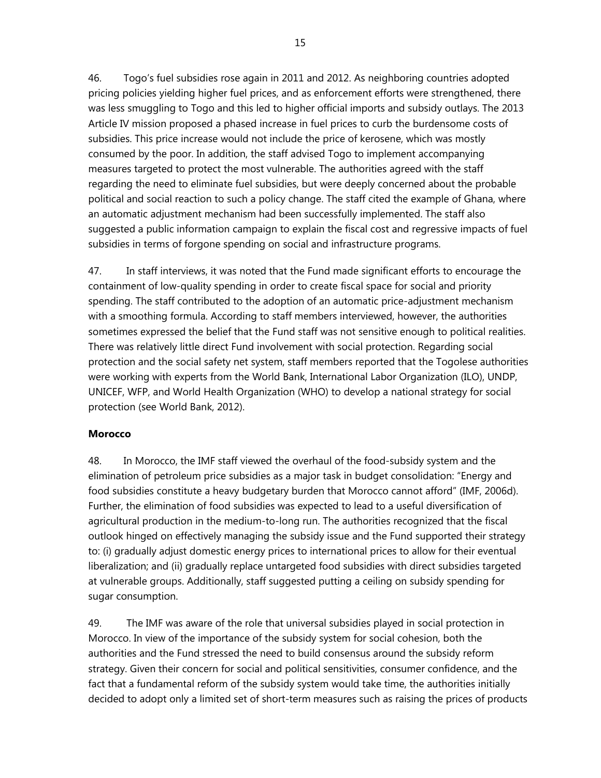46. Togo's fuel subsidies rose again in 2011 and 2012. As neighboring countries adopted pricing policies yielding higher fuel prices, and as enforcement efforts were strengthened, there was less smuggling to Togo and this led to higher official imports and subsidy outlays. The 2013 Article IV mission proposed a phased increase in fuel prices to curb the burdensome costs of subsidies. This price increase would not include the price of kerosene, which was mostly consumed by the poor. In addition, the staff advised Togo to implement accompanying measures targeted to protect the most vulnerable. The authorities agreed with the staff regarding the need to eliminate fuel subsidies, but were deeply concerned about the probable political and social reaction to such a policy change. The staff cited the example of Ghana, where an automatic adjustment mechanism had been successfully implemented. The staff also suggested a public information campaign to explain the fiscal cost and regressive impacts of fuel subsidies in terms of forgone spending on social and infrastructure programs.

47. In staff interviews, it was noted that the Fund made significant efforts to encourage the containment of low-quality spending in order to create fiscal space for social and priority spending. The staff contributed to the adoption of an automatic price-adjustment mechanism with a smoothing formula. According to staff members interviewed, however, the authorities sometimes expressed the belief that the Fund staff was not sensitive enough to political realities. There was relatively little direct Fund involvement with social protection. Regarding social protection and the social safety net system, staff members reported that the Togolese authorities were working with experts from the World Bank, International Labor Organization (ILO), UNDP, UNICEF, WFP, and World Health Organization (WHO) to develop a national strategy for social protection (see World Bank, 2012).

#### **Morocco**

48. In Morocco, the IMF staff viewed the overhaul of the food-subsidy system and the elimination of petroleum price subsidies as a major task in budget consolidation: "Energy and food subsidies constitute a heavy budgetary burden that Morocco cannot afford" (IMF, 2006d). Further, the elimination of food subsidies was expected to lead to a useful diversification of agricultural production in the medium-to-long run. The authorities recognized that the fiscal outlook hinged on effectively managing the subsidy issue and the Fund supported their strategy to: (i) gradually adjust domestic energy prices to international prices to allow for their eventual liberalization; and (ii) gradually replace untargeted food subsidies with direct subsidies targeted at vulnerable groups. Additionally, staff suggested putting a ceiling on subsidy spending for sugar consumption.

49. The IMF was aware of the role that universal subsidies played in social protection in Morocco. In view of the importance of the subsidy system for social cohesion, both the authorities and the Fund stressed the need to build consensus around the subsidy reform strategy. Given their concern for social and political sensitivities, consumer confidence, and the fact that a fundamental reform of the subsidy system would take time, the authorities initially decided to adopt only a limited set of short-term measures such as raising the prices of products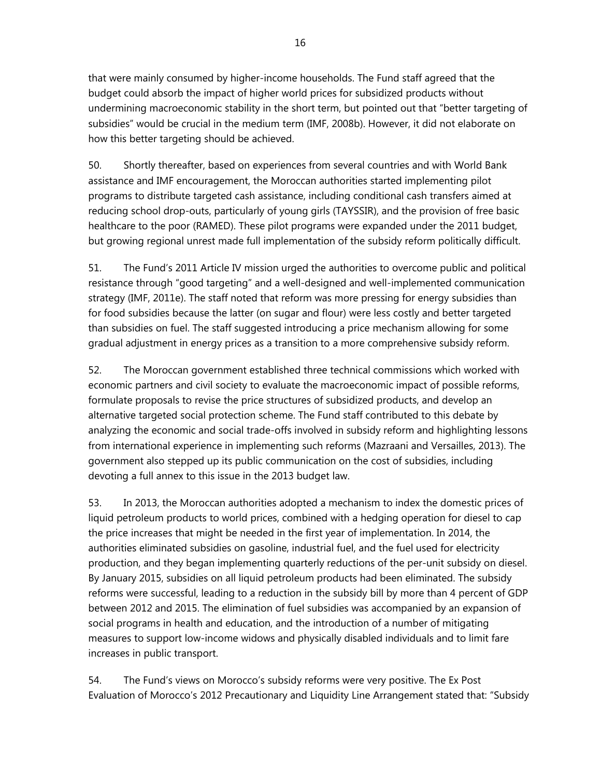that were mainly consumed by higher-income households. The Fund staff agreed that the budget could absorb the impact of higher world prices for subsidized products without undermining macroeconomic stability in the short term, but pointed out that "better targeting of subsidies" would be crucial in the medium term (IMF, 2008b). However, it did not elaborate on how this better targeting should be achieved.

50. Shortly thereafter, based on experiences from several countries and with World Bank assistance and IMF encouragement, the Moroccan authorities started implementing pilot programs to distribute targeted cash assistance, including conditional cash transfers aimed at reducing school drop-outs, particularly of young girls (TAYSSIR), and the provision of free basic healthcare to the poor (RAMED). These pilot programs were expanded under the 2011 budget, but growing regional unrest made full implementation of the subsidy reform politically difficult.

51. The Fund's 2011 Article IV mission urged the authorities to overcome public and political resistance through "good targeting" and a well-designed and well-implemented communication strategy (IMF, 2011e). The staff noted that reform was more pressing for energy subsidies than for food subsidies because the latter (on sugar and flour) were less costly and better targeted than subsidies on fuel. The staff suggested introducing a price mechanism allowing for some gradual adjustment in energy prices as a transition to a more comprehensive subsidy reform.

52. The Moroccan government established three technical commissions which worked with economic partners and civil society to evaluate the macroeconomic impact of possible reforms, formulate proposals to revise the price structures of subsidized products, and develop an alternative targeted social protection scheme. The Fund staff contributed to this debate by analyzing the economic and social trade-offs involved in subsidy reform and highlighting lessons from international experience in implementing such reforms (Mazraani and Versailles, 2013). The government also stepped up its public communication on the cost of subsidies, including devoting a full annex to this issue in the 2013 budget law.

53. In 2013, the Moroccan authorities adopted a mechanism to index the domestic prices of liquid petroleum products to world prices, combined with a hedging operation for diesel to cap the price increases that might be needed in the first year of implementation. In 2014, the authorities eliminated subsidies on gasoline, industrial fuel, and the fuel used for electricity production, and they began implementing quarterly reductions of the per-unit subsidy on diesel. By January 2015, subsidies on all liquid petroleum products had been eliminated. The subsidy reforms were successful, leading to a reduction in the subsidy bill by more than 4 percent of GDP between 2012 and 2015. The elimination of fuel subsidies was accompanied by an expansion of social programs in health and education, and the introduction of a number of mitigating measures to support low-income widows and physically disabled individuals and to limit fare increases in public transport.

54. The Fund's views on Morocco's subsidy reforms were very positive. The Ex Post Evaluation of Morocco's 2012 Precautionary and Liquidity Line Arrangement stated that: "Subsidy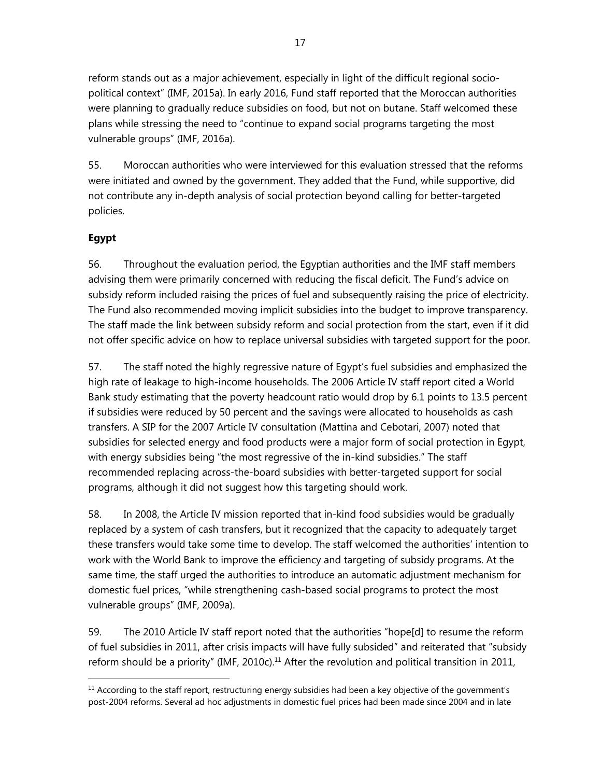reform stands out as a major achievement, especially in light of the difficult regional sociopolitical context" (IMF, 2015a). In early 2016, Fund staff reported that the Moroccan authorities were planning to gradually reduce subsidies on food, but not on butane. Staff welcomed these plans while stressing the need to "continue to expand social programs targeting the most vulnerable groups" (IMF, 2016a).

55. Moroccan authorities who were interviewed for this evaluation stressed that the reforms were initiated and owned by the government. They added that the Fund, while supportive, did not contribute any in-depth analysis of social protection beyond calling for better-targeted policies.

# **Egypt**

 $\overline{a}$ 

56. Throughout the evaluation period, the Egyptian authorities and the IMF staff members advising them were primarily concerned with reducing the fiscal deficit. The Fund's advice on subsidy reform included raising the prices of fuel and subsequently raising the price of electricity. The Fund also recommended moving implicit subsidies into the budget to improve transparency. The staff made the link between subsidy reform and social protection from the start, even if it did not offer specific advice on how to replace universal subsidies with targeted support for the poor.

57. The staff noted the highly regressive nature of Egypt's fuel subsidies and emphasized the high rate of leakage to high-income households. The 2006 Article IV staff report cited a World Bank study estimating that the poverty headcount ratio would drop by 6.1 points to 13.5 percent if subsidies were reduced by 50 percent and the savings were allocated to households as cash transfers. A SIP for the 2007 Article IV consultation (Mattina and Cebotari, 2007) noted that subsidies for selected energy and food products were a major form of social protection in Egypt, with energy subsidies being "the most regressive of the in-kind subsidies." The staff recommended replacing across-the-board subsidies with better-targeted support for social programs, although it did not suggest how this targeting should work.

58. In 2008, the Article IV mission reported that in-kind food subsidies would be gradually replaced by a system of cash transfers, but it recognized that the capacity to adequately target these transfers would take some time to develop. The staff welcomed the authorities' intention to work with the World Bank to improve the efficiency and targeting of subsidy programs. At the same time, the staff urged the authorities to introduce an automatic adjustment mechanism for domestic fuel prices, "while strengthening cash-based social programs to protect the most vulnerable groups" (IMF, 2009a).

59. The 2010 Article IV staff report noted that the authorities "hope[d] to resume the reform of fuel subsidies in 2011, after crisis impacts will have fully subsided" and reiterated that "subsidy reform should be a priority" (IMF, 2010c).<sup>11</sup> After the revolution and political transition in 2011,

<sup>&</sup>lt;sup>11</sup> According to the staff report, restructuring energy subsidies had been a key objective of the government's post-2004 reforms. Several ad hoc adjustments in domestic fuel prices had been made since 2004 and in late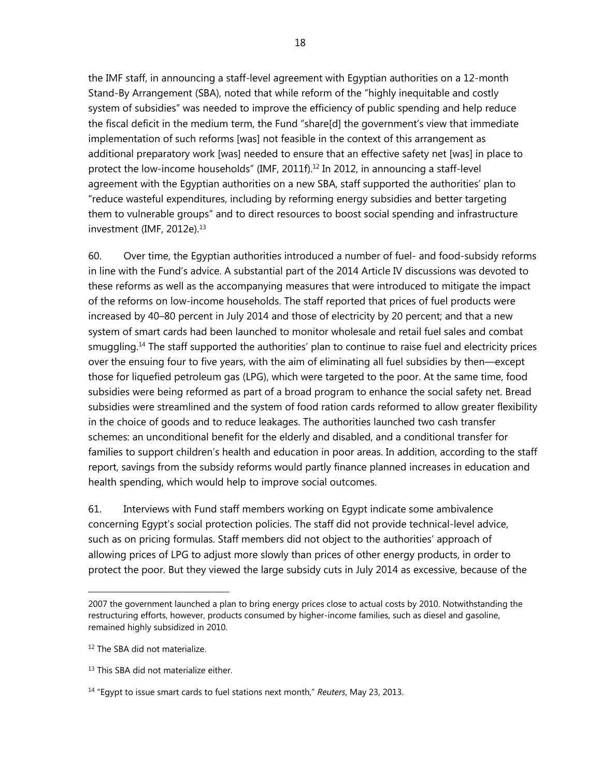the IMF staff, in announcing a staff-level agreement with Egyptian authorities on a 12-month Stand-By Arrangement (SBA), noted that while reform of the "highly inequitable and costly system of subsidies" was needed to improve the efficiency of public spending and help reduce the fiscal deficit in the medium term, the Fund "share[d] the government's view that immediate implementation of such reforms [was] not feasible in the context of this arrangement as additional preparatory work [was] needed to ensure that an effective safety net [was] in place to protect the low-income households" (IMF, 2011f).<sup>12</sup> In 2012, in announcing a staff-level agreement with the Egyptian authorities on a new SBA, staff supported the authorities' plan to "reduce wasteful expenditures, including by reforming energy subsidies and better targeting them to vulnerable groups" and to direct resources to boost social spending and infrastructure investment (IMF, 2012e).<sup>13</sup>

60. Over time, the Egyptian authorities introduced a number of fuel- and food-subsidy reforms in line with the Fund's advice. A substantial part of the 2014 Article IV discussions was devoted to these reforms as well as the accompanying measures that were introduced to mitigate the impact of the reforms on low-income households. The staff reported that prices of fuel products were increased by 40–80 percent in July 2014 and those of electricity by 20 percent; and that a new system of smart cards had been launched to monitor wholesale and retail fuel sales and combat smuggling.<sup>14</sup> The staff supported the authorities' plan to continue to raise fuel and electricity prices over the ensuing four to five years, with the aim of eliminating all fuel subsidies by then—except those for liquefied petroleum gas (LPG), which were targeted to the poor. At the same time, food subsidies were being reformed as part of a broad program to enhance the social safety net. Bread subsidies were streamlined and the system of food ration cards reformed to allow greater flexibility in the choice of goods and to reduce leakages. The authorities launched two cash transfer schemes: an unconditional benefit for the elderly and disabled, and a conditional transfer for families to support children's health and education in poor areas. In addition, according to the staff report, savings from the subsidy reforms would partly finance planned increases in education and health spending, which would help to improve social outcomes.

61. Interviews with Fund staff members working on Egypt indicate some ambivalence concerning Egypt's social protection policies. The staff did not provide technical-level advice, such as on pricing formulas. Staff members did not object to the authorities' approach of allowing prices of LPG to adjust more slowly than prices of other energy products, in order to protect the poor. But they viewed the large subsidy cuts in July 2014 as excessive, because of the

<sup>2007</sup> the government launched a plan to bring energy prices close to actual costs by 2010. Notwithstanding the restructuring efforts, however, products consumed by higher-income families, such as diesel and gasoline, remained highly subsidized in 2010.

<sup>&</sup>lt;sup>12</sup> The SBA did not materialize.

<sup>&</sup>lt;sup>13</sup> This SBA did not materialize either.

<sup>14 &</sup>quot;Egypt to issue smart cards to fuel stations next month," *Reuters*, May 23, 2013.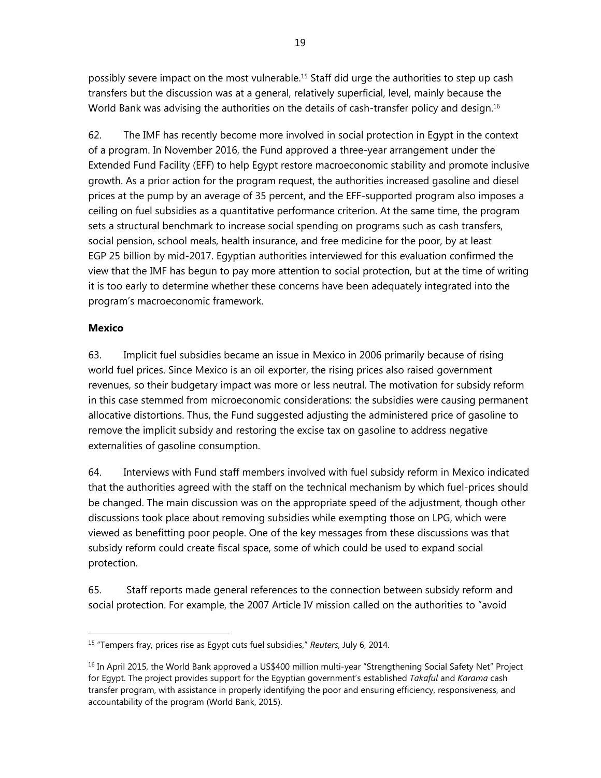possibly severe impact on the most vulnerable.<sup>15</sup> Staff did urge the authorities to step up cash transfers but the discussion was at a general, relatively superficial, level, mainly because the World Bank was advising the authorities on the details of cash-transfer policy and design.<sup>16</sup>

62. The IMF has recently become more involved in social protection in Egypt in the context of a program. In November 2016, the Fund approved a three-year arrangement under the Extended Fund Facility (EFF) to help Egypt restore macroeconomic stability and promote inclusive growth. As a prior action for the program request, the authorities increased gasoline and diesel prices at the pump by an average of 35 percent, and the EFF-supported program also imposes a ceiling on fuel subsidies as a quantitative performance criterion. At the same time, the program sets a structural benchmark to increase social spending on programs such as cash transfers, social pension, school meals, health insurance, and free medicine for the poor, by at least EGP 25 billion by mid-2017. Egyptian authorities interviewed for this evaluation confirmed the view that the IMF has begun to pay more attention to social protection, but at the time of writing it is too early to determine whether these concerns have been adequately integrated into the program's macroeconomic framework.

#### **Mexico**

 $\overline{a}$ 

63. Implicit fuel subsidies became an issue in Mexico in 2006 primarily because of rising world fuel prices. Since Mexico is an oil exporter, the rising prices also raised government revenues, so their budgetary impact was more or less neutral. The motivation for subsidy reform in this case stemmed from microeconomic considerations: the subsidies were causing permanent allocative distortions. Thus, the Fund suggested adjusting the administered price of gasoline to remove the implicit subsidy and restoring the excise tax on gasoline to address negative externalities of gasoline consumption.

64. Interviews with Fund staff members involved with fuel subsidy reform in Mexico indicated that the authorities agreed with the staff on the technical mechanism by which fuel-prices should be changed. The main discussion was on the appropriate speed of the adjustment, though other discussions took place about removing subsidies while exempting those on LPG, which were viewed as benefitting poor people. One of the key messages from these discussions was that subsidy reform could create fiscal space, some of which could be used to expand social protection.

65. Staff reports made general references to the connection between subsidy reform and social protection. For example, the 2007 Article IV mission called on the authorities to "avoid

<sup>15 &</sup>quot;Tempers fray, prices rise as Egypt cuts fuel subsidies," *Reuters*, July 6, 2014.

<sup>&</sup>lt;sup>16</sup> In April 2015, the World Bank approved a US\$400 million multi-year "Strengthening Social Safety Net" Project for Egypt. The project provides support for the Egyptian government's established *Takaful* and *Karama* cash transfer program, with assistance in properly identifying the poor and ensuring efficiency, responsiveness, and accountability of the program (World Bank, 2015).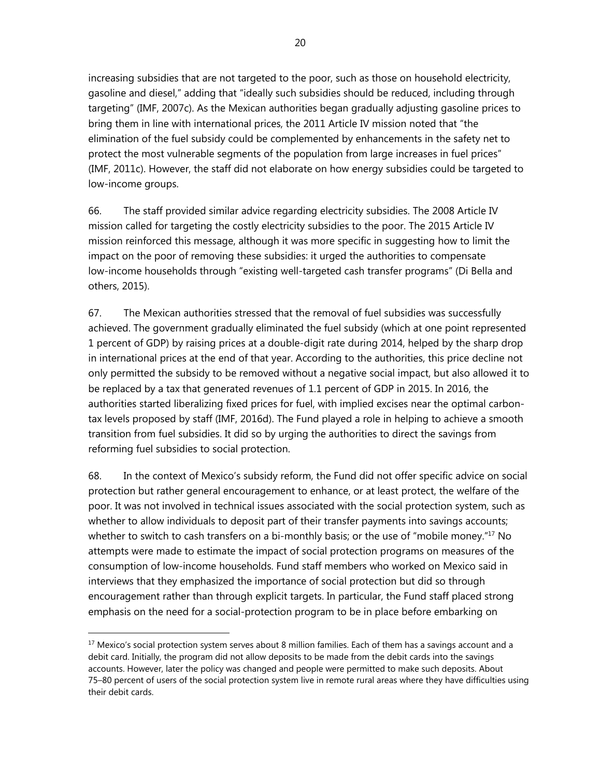increasing subsidies that are not targeted to the poor, such as those on household electricity, gasoline and diesel," adding that "ideally such subsidies should be reduced, including through targeting" (IMF, 2007c). As the Mexican authorities began gradually adjusting gasoline prices to bring them in line with international prices, the 2011 Article IV mission noted that "the elimination of the fuel subsidy could be complemented by enhancements in the safety net to protect the most vulnerable segments of the population from large increases in fuel prices" (IMF, 2011c). However, the staff did not elaborate on how energy subsidies could be targeted to low-income groups.

66. The staff provided similar advice regarding electricity subsidies. The 2008 Article IV mission called for targeting the costly electricity subsidies to the poor. The 2015 Article IV mission reinforced this message, although it was more specific in suggesting how to limit the impact on the poor of removing these subsidies: it urged the authorities to compensate low-income households through "existing well-targeted cash transfer programs" (Di Bella and others, 2015).

67. The Mexican authorities stressed that the removal of fuel subsidies was successfully achieved. The government gradually eliminated the fuel subsidy (which at one point represented 1 percent of GDP) by raising prices at a double-digit rate during 2014, helped by the sharp drop in international prices at the end of that year. According to the authorities, this price decline not only permitted the subsidy to be removed without a negative social impact, but also allowed it to be replaced by a tax that generated revenues of 1.1 percent of GDP in 2015. In 2016, the authorities started liberalizing fixed prices for fuel, with implied excises near the optimal carbontax levels proposed by staff (IMF, 2016d). The Fund played a role in helping to achieve a smooth transition from fuel subsidies. It did so by urging the authorities to direct the savings from reforming fuel subsidies to social protection.

68. In the context of Mexico's subsidy reform, the Fund did not offer specific advice on social protection but rather general encouragement to enhance, or at least protect, the welfare of the poor. It was not involved in technical issues associated with the social protection system, such as whether to allow individuals to deposit part of their transfer payments into savings accounts; whether to switch to cash transfers on a bi-monthly basis; or the use of "mobile money."<sup>17</sup> No attempts were made to estimate the impact of social protection programs on measures of the consumption of low-income households. Fund staff members who worked on Mexico said in interviews that they emphasized the importance of social protection but did so through encouragement rather than through explicit targets. In particular, the Fund staff placed strong emphasis on the need for a social-protection program to be in place before embarking on

<sup>&</sup>lt;sup>17</sup> Mexico's social protection system serves about 8 million families. Each of them has a savings account and a debit card. Initially, the program did not allow deposits to be made from the debit cards into the savings accounts. However, later the policy was changed and people were permitted to make such deposits. About 75–80 percent of users of the social protection system live in remote rural areas where they have difficulties using their debit cards.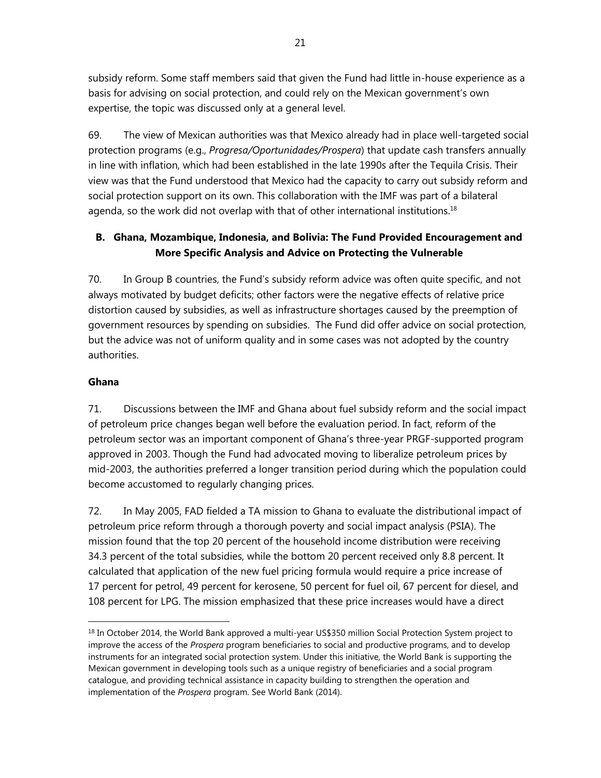subsidy reform. Some staff members said that given the Fund had little in-house experience as a basis for advising on social protection, and could rely on the Mexican government's own expertise, the topic was discussed only at a general level.

69. The view of Mexican authorities was that Mexico already had in place well-targeted social protection programs (e.g., *Progresa/Oportunidades/Prospera*) that update cash transfers annually in line with inflation, which had been established in the late 1990s after the Tequila Crisis. Their view was that the Fund understood that Mexico had the capacity to carry out subsidy reform and social protection support on its own. This collaboration with the IMF was part of a bilateral agenda, so the work did not overlap with that of other international institutions.<sup>18</sup>

# **B. Ghana, Mozambique, Indonesia, and Bolivia: The Fund Provided Encouragement and More Specific Analysis and Advice on Protecting the Vulnerable**

70. In Group B countries, the Fund's subsidy reform advice was often quite specific, and not always motivated by budget deficits; other factors were the negative effects of relative price distortion caused by subsidies, as well as infrastructure shortages caused by the preemption of government resources by spending on subsidies. The Fund did offer advice on social protection, but the advice was not of uniform quality and in some cases was not adopted by the country authorities.

## **Ghana**

 $\overline{a}$ 

71. Discussions between the IMF and Ghana about fuel subsidy reform and the social impact of petroleum price changes began well before the evaluation period. In fact, reform of the petroleum sector was an important component of Ghana's three-year PRGF-supported program approved in 2003. Though the Fund had advocated moving to liberalize petroleum prices by mid-2003, the authorities preferred a longer transition period during which the population could become accustomed to regularly changing prices.

72. In May 2005, FAD fielded a TA mission to Ghana to evaluate the distributional impact of petroleum price reform through a thorough poverty and social impact analysis (PSIA). The mission found that the top 20 percent of the household income distribution were receiving 34.3 percent of the total subsidies, while the bottom 20 percent received only 8.8 percent. It calculated that application of the new fuel pricing formula would require a price increase of 17 percent for petrol, 49 percent for kerosene, 50 percent for fuel oil, 67 percent for diesel, and 108 percent for LPG. The mission emphasized that these price increases would have a direct

<sup>&</sup>lt;sup>18</sup> In October 2014, the World Bank approved a multi-year US\$350 million Social Protection System project to improve the access of the *Prospera* program beneficiaries to social and productive programs, and to develop instruments for an integrated social protection system. Under this initiative, the World Bank is supporting the Mexican government in developing tools such as a unique registry of beneficiaries and a social program catalogue, and providing technical assistance in capacity building to strengthen the operation and implementation of the *Prospera* program. See World Bank (2014).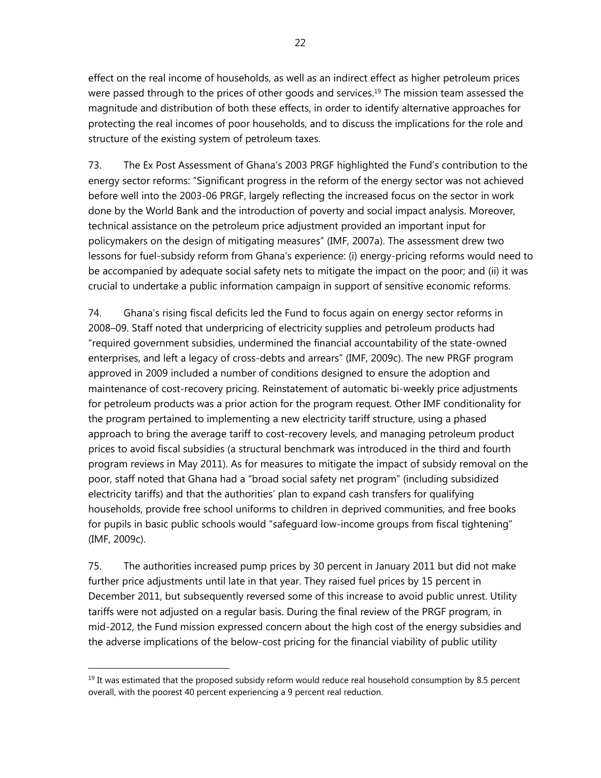effect on the real income of households, as well as an indirect effect as higher petroleum prices were passed through to the prices of other goods and services.<sup>19</sup> The mission team assessed the magnitude and distribution of both these effects, in order to identify alternative approaches for protecting the real incomes of poor households, and to discuss the implications for the role and structure of the existing system of petroleum taxes.

73. The Ex Post Assessment of Ghana's 2003 PRGF highlighted the Fund's contribution to the energy sector reforms: "Significant progress in the reform of the energy sector was not achieved before well into the 2003-06 PRGF, largely reflecting the increased focus on the sector in work done by the World Bank and the introduction of poverty and social impact analysis. Moreover, technical assistance on the petroleum price adjustment provided an important input for policymakers on the design of mitigating measures" (IMF, 2007a). The assessment drew two lessons for fuel-subsidy reform from Ghana's experience: (i) energy-pricing reforms would need to be accompanied by adequate social safety nets to mitigate the impact on the poor; and (ii) it was crucial to undertake a public information campaign in support of sensitive economic reforms.

74. Ghana's rising fiscal deficits led the Fund to focus again on energy sector reforms in 2008–09. Staff noted that underpricing of electricity supplies and petroleum products had "required government subsidies, undermined the financial accountability of the state-owned enterprises, and left a legacy of cross-debts and arrears" (IMF, 2009c). The new PRGF program approved in 2009 included a number of conditions designed to ensure the adoption and maintenance of cost-recovery pricing. Reinstatement of automatic bi-weekly price adjustments for petroleum products was a prior action for the program request. Other IMF conditionality for the program pertained to implementing a new electricity tariff structure, using a phased approach to bring the average tariff to cost-recovery levels, and managing petroleum product prices to avoid fiscal subsidies (a structural benchmark was introduced in the third and fourth program reviews in May 2011). As for measures to mitigate the impact of subsidy removal on the poor, staff noted that Ghana had a "broad social safety net program" (including subsidized electricity tariffs) and that the authorities' plan to expand cash transfers for qualifying households, provide free school uniforms to children in deprived communities, and free books for pupils in basic public schools would "safeguard low-income groups from fiscal tightening" (IMF, 2009c).

75. The authorities increased pump prices by 30 percent in January 2011 but did not make further price adjustments until late in that year. They raised fuel prices by 15 percent in December 2011, but subsequently reversed some of this increase to avoid public unrest. Utility tariffs were not adjusted on a regular basis. During the final review of the PRGF program, in mid-2012, the Fund mission expressed concern about the high cost of the energy subsidies and the adverse implications of the below-cost pricing for the financial viability of public utility

 $19$  It was estimated that the proposed subsidy reform would reduce real household consumption by 8.5 percent overall, with the poorest 40 percent experiencing a 9 percent real reduction.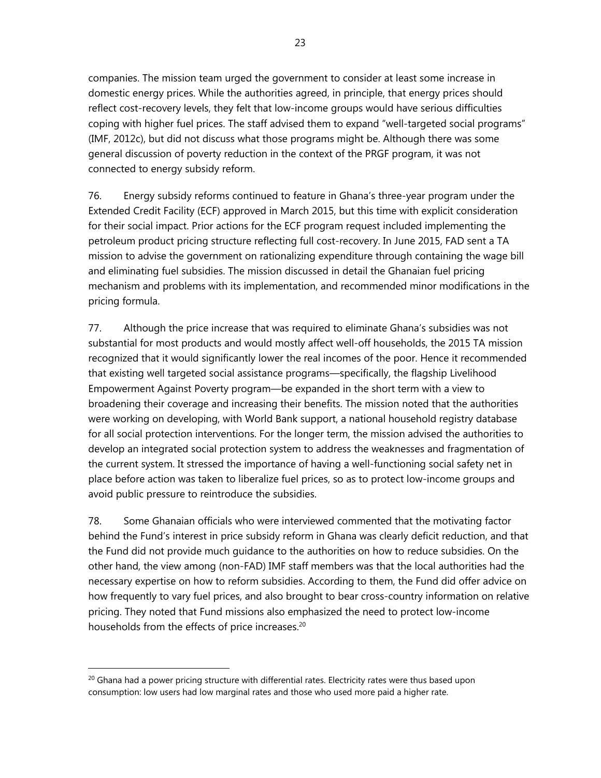companies. The mission team urged the government to consider at least some increase in domestic energy prices. While the authorities agreed, in principle, that energy prices should reflect cost-recovery levels, they felt that low-income groups would have serious difficulties coping with higher fuel prices. The staff advised them to expand "well-targeted social programs" (IMF, 2012c), but did not discuss what those programs might be. Although there was some general discussion of poverty reduction in the context of the PRGF program, it was not connected to energy subsidy reform.

76. Energy subsidy reforms continued to feature in Ghana's three-year program under the Extended Credit Facility (ECF) approved in March 2015, but this time with explicit consideration for their social impact. Prior actions for the ECF program request included implementing the petroleum product pricing structure reflecting full cost-recovery. In June 2015, FAD sent a TA mission to advise the government on rationalizing expenditure through containing the wage bill and eliminating fuel subsidies. The mission discussed in detail the Ghanaian fuel pricing mechanism and problems with its implementation, and recommended minor modifications in the pricing formula.

77. Although the price increase that was required to eliminate Ghana's subsidies was not substantial for most products and would mostly affect well-off households, the 2015 TA mission recognized that it would significantly lower the real incomes of the poor. Hence it recommended that existing well targeted social assistance programs—specifically, the flagship Livelihood Empowerment Against Poverty program—be expanded in the short term with a view to broadening their coverage and increasing their benefits. The mission noted that the authorities were working on developing, with World Bank support, a national household registry database for all social protection interventions. For the longer term, the mission advised the authorities to develop an integrated social protection system to address the weaknesses and fragmentation of the current system. It stressed the importance of having a well-functioning social safety net in place before action was taken to liberalize fuel prices, so as to protect low-income groups and avoid public pressure to reintroduce the subsidies.

78. Some Ghanaian officials who were interviewed commented that the motivating factor behind the Fund's interest in price subsidy reform in Ghana was clearly deficit reduction, and that the Fund did not provide much guidance to the authorities on how to reduce subsidies. On the other hand, the view among (non-FAD) IMF staff members was that the local authorities had the necessary expertise on how to reform subsidies. According to them, the Fund did offer advice on how frequently to vary fuel prices, and also brought to bear cross-country information on relative pricing. They noted that Fund missions also emphasized the need to protect low-income households from the effects of price increases.<sup>20</sup>

<sup>&</sup>lt;sup>20</sup> Ghana had a power pricing structure with differential rates. Electricity rates were thus based upon consumption: low users had low marginal rates and those who used more paid a higher rate.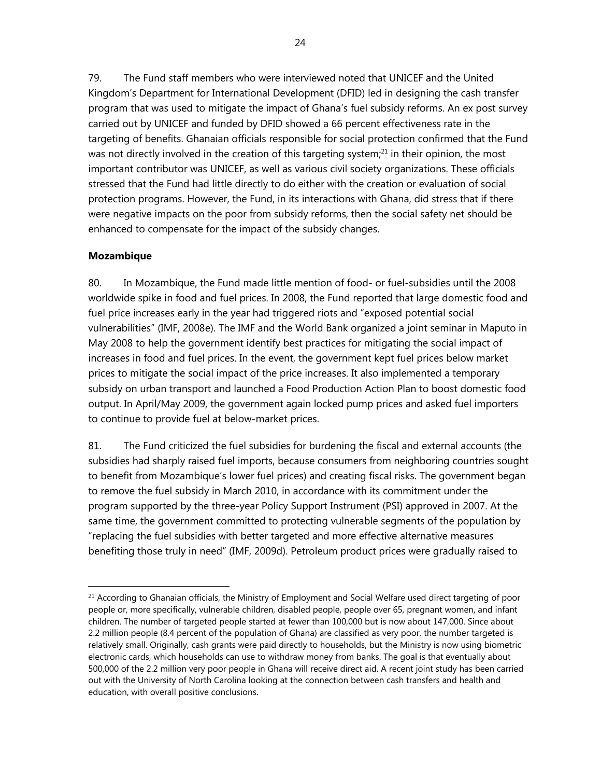79. The Fund staff members who were interviewed noted that UNICEF and the United Kingdom's Department for International Development (DFID) led in designing the cash transfer program that was used to mitigate the impact of Ghana's fuel subsidy reforms. An ex post survey carried out by UNICEF and funded by DFID showed a 66 percent effectiveness rate in the targeting of benefits. Ghanaian officials responsible for social protection confirmed that the Fund was not directly involved in the creation of this targeting system; $21$  in their opinion, the most important contributor was UNICEF, as well as various civil society organizations. These officials stressed that the Fund had little directly to do either with the creation or evaluation of social protection programs. However, the Fund, in its interactions with Ghana, did stress that if there were negative impacts on the poor from subsidy reforms, then the social safety net should be enhanced to compensate for the impact of the subsidy changes.

#### **Mozambique**

 $\overline{a}$ 

80. In Mozambique, the Fund made little mention of food- or fuel-subsidies until the 2008 worldwide spike in food and fuel prices. In 2008, the Fund reported that large domestic food and fuel price increases early in the year had triggered riots and "exposed potential social vulnerabilities" (IMF, 2008e). The IMF and the World Bank organized a joint seminar in Maputo in May 2008 to help the government identify best practices for mitigating the social impact of increases in food and fuel prices. In the event, the government kept fuel prices below market prices to mitigate the social impact of the price increases. It also implemented a temporary subsidy on urban transport and launched a Food Production Action Plan to boost domestic food output. In April/May 2009, the government again locked pump prices and asked fuel importers to continue to provide fuel at below-market prices.

81. The Fund criticized the fuel subsidies for burdening the fiscal and external accounts (the subsidies had sharply raised fuel imports, because consumers from neighboring countries sought to benefit from Mozambique's lower fuel prices) and creating fiscal risks. The government began to remove the fuel subsidy in March 2010, in accordance with its commitment under the program supported by the three-year Policy Support Instrument (PSI) approved in 2007. At the same time, the government committed to protecting vulnerable segments of the population by "replacing the fuel subsidies with better targeted and more effective alternative measures benefiting those truly in need" (IMF, 2009d). Petroleum product prices were gradually raised to

<sup>&</sup>lt;sup>21</sup> According to Ghanaian officials, the Ministry of Employment and Social Welfare used direct targeting of poor people or, more specifically, vulnerable children, disabled people, people over 65, pregnant women, and infant children. The number of targeted people started at fewer than 100,000 but is now about 147,000. Since about 2.2 million people (8.4 percent of the population of Ghana) are classified as very poor, the number targeted is relatively small. Originally, cash grants were paid directly to households, but the Ministry is now using biometric electronic cards, which households can use to withdraw money from banks. The goal is that eventually about 500,000 of the 2.2 million very poor people in Ghana will receive direct aid. A recent joint study has been carried out with the University of North Carolina looking at the connection between cash transfers and health and education, with overall positive conclusions.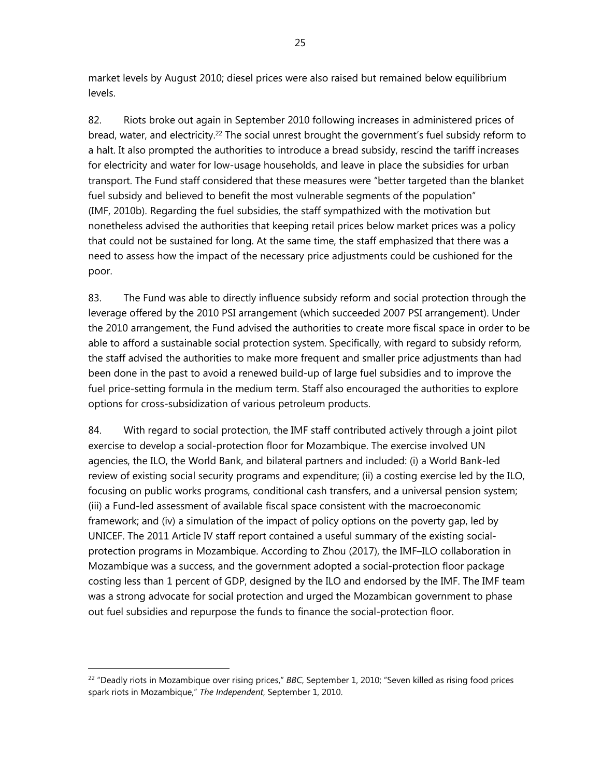market levels by August 2010; diesel prices were also raised but remained below equilibrium levels.

82. Riots broke out again in September 2010 following increases in administered prices of bread, water, and electricity.<sup>22</sup> The social unrest brought the government's fuel subsidy reform to a halt. It also prompted the authorities to introduce a bread subsidy, rescind the tariff increases for electricity and water for low-usage households, and leave in place the subsidies for urban transport. The Fund staff considered that these measures were "better targeted than the blanket fuel subsidy and believed to benefit the most vulnerable segments of the population" (IMF, 2010b). Regarding the fuel subsidies, the staff sympathized with the motivation but nonetheless advised the authorities that keeping retail prices below market prices was a policy that could not be sustained for long. At the same time, the staff emphasized that there was a need to assess how the impact of the necessary price adjustments could be cushioned for the poor.

83. The Fund was able to directly influence subsidy reform and social protection through the leverage offered by the 2010 PSI arrangement (which succeeded 2007 PSI arrangement). Under the 2010 arrangement, the Fund advised the authorities to create more fiscal space in order to be able to afford a sustainable social protection system. Specifically, with regard to subsidy reform, the staff advised the authorities to make more frequent and smaller price adjustments than had been done in the past to avoid a renewed build-up of large fuel subsidies and to improve the fuel price-setting formula in the medium term. Staff also encouraged the authorities to explore options for cross-subsidization of various petroleum products.

84. With regard to social protection, the IMF staff contributed actively through a joint pilot exercise to develop a social-protection floor for Mozambique. The exercise involved UN agencies, the ILO, the World Bank, and bilateral partners and included: (i) a World Bank-led review of existing social security programs and expenditure; (ii) a costing exercise led by the ILO, focusing on public works programs, conditional cash transfers, and a universal pension system; (iii) a Fund-led assessment of available fiscal space consistent with the macroeconomic framework; and (iv) a simulation of the impact of policy options on the poverty gap, led by UNICEF. The 2011 Article IV staff report contained a useful summary of the existing socialprotection programs in Mozambique. According to Zhou (2017), the IMF–ILO collaboration in Mozambique was a success, and the government adopted a social-protection floor package costing less than 1 percent of GDP, designed by the ILO and endorsed by the IMF. The IMF team was a strong advocate for social protection and urged the Mozambican government to phase out fuel subsidies and repurpose the funds to finance the social-protection floor.

<sup>22 &</sup>quot;Deadly riots in Mozambique over rising prices," *BBC*, September 1, 2010; "Seven killed as rising food prices spark riots in Mozambique," *The Independent*, September 1, 2010.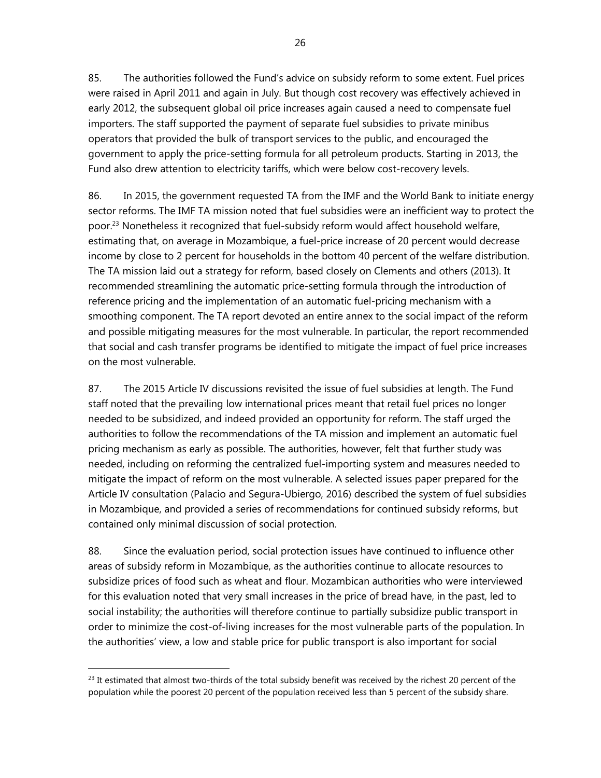85. The authorities followed the Fund's advice on subsidy reform to some extent. Fuel prices were raised in April 2011 and again in July. But though cost recovery was effectively achieved in early 2012, the subsequent global oil price increases again caused a need to compensate fuel importers. The staff supported the payment of separate fuel subsidies to private minibus operators that provided the bulk of transport services to the public, and encouraged the government to apply the price-setting formula for all petroleum products. Starting in 2013, the Fund also drew attention to electricity tariffs, which were below cost-recovery levels.

86. In 2015, the government requested TA from the IMF and the World Bank to initiate energy sector reforms. The IMF TA mission noted that fuel subsidies were an inefficient way to protect the poor.<sup>23</sup> Nonetheless it recognized that fuel-subsidy reform would affect household welfare, estimating that, on average in Mozambique, a fuel-price increase of 20 percent would decrease income by close to 2 percent for households in the bottom 40 percent of the welfare distribution. The TA mission laid out a strategy for reform, based closely on Clements and others (2013). It recommended streamlining the automatic price-setting formula through the introduction of reference pricing and the implementation of an automatic fuel-pricing mechanism with a smoothing component. The TA report devoted an entire annex to the social impact of the reform and possible mitigating measures for the most vulnerable. In particular, the report recommended that social and cash transfer programs be identified to mitigate the impact of fuel price increases on the most vulnerable.

87. The 2015 Article IV discussions revisited the issue of fuel subsidies at length. The Fund staff noted that the prevailing low international prices meant that retail fuel prices no longer needed to be subsidized, and indeed provided an opportunity for reform. The staff urged the authorities to follow the recommendations of the TA mission and implement an automatic fuel pricing mechanism as early as possible. The authorities, however, felt that further study was needed, including on reforming the centralized fuel-importing system and measures needed to mitigate the impact of reform on the most vulnerable. A selected issues paper prepared for the Article IV consultation (Palacio and Segura-Ubiergo, 2016) described the system of fuel subsidies in Mozambique, and provided a series of recommendations for continued subsidy reforms, but contained only minimal discussion of social protection.

88. Since the evaluation period, social protection issues have continued to influence other areas of subsidy reform in Mozambique, as the authorities continue to allocate resources to subsidize prices of food such as wheat and flour. Mozambican authorities who were interviewed for this evaluation noted that very small increases in the price of bread have, in the past, led to social instability; the authorities will therefore continue to partially subsidize public transport in order to minimize the cost-of-living increases for the most vulnerable parts of the population. In the authorities' view, a low and stable price for public transport is also important for social

 $^{23}$  It estimated that almost two-thirds of the total subsidy benefit was received by the richest 20 percent of the population while the poorest 20 percent of the population received less than 5 percent of the subsidy share.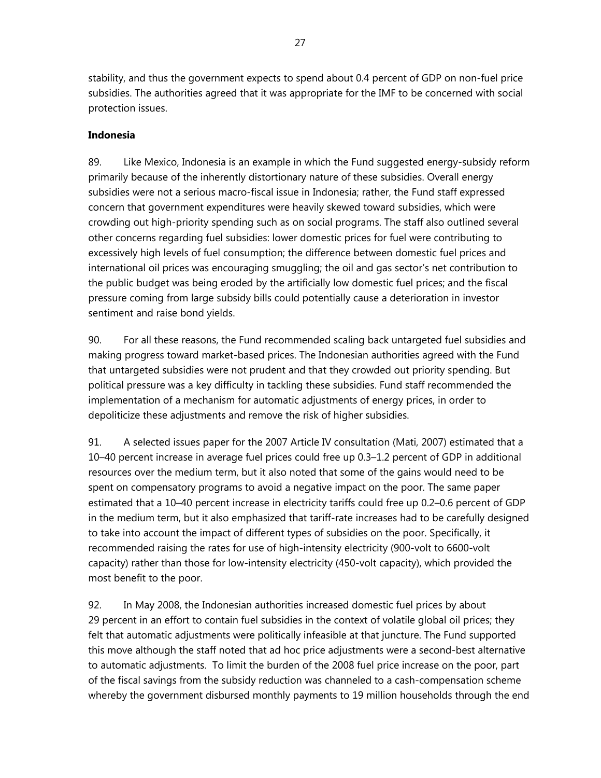stability, and thus the government expects to spend about 0.4 percent of GDP on non-fuel price subsidies. The authorities agreed that it was appropriate for the IMF to be concerned with social protection issues.

## **Indonesia**

89. Like Mexico, Indonesia is an example in which the Fund suggested energy-subsidy reform primarily because of the inherently distortionary nature of these subsidies. Overall energy subsidies were not a serious macro-fiscal issue in Indonesia; rather, the Fund staff expressed concern that government expenditures were heavily skewed toward subsidies, which were crowding out high-priority spending such as on social programs. The staff also outlined several other concerns regarding fuel subsidies: lower domestic prices for fuel were contributing to excessively high levels of fuel consumption; the difference between domestic fuel prices and international oil prices was encouraging smuggling; the oil and gas sector's net contribution to the public budget was being eroded by the artificially low domestic fuel prices; and the fiscal pressure coming from large subsidy bills could potentially cause a deterioration in investor sentiment and raise bond yields.

90. For all these reasons, the Fund recommended scaling back untargeted fuel subsidies and making progress toward market-based prices. The Indonesian authorities agreed with the Fund that untargeted subsidies were not prudent and that they crowded out priority spending. But political pressure was a key difficulty in tackling these subsidies. Fund staff recommended the implementation of a mechanism for automatic adjustments of energy prices, in order to depoliticize these adjustments and remove the risk of higher subsidies.

91. A selected issues paper for the 2007 Article IV consultation (Mati, 2007) estimated that a 10–40 percent increase in average fuel prices could free up 0.3–1.2 percent of GDP in additional resources over the medium term, but it also noted that some of the gains would need to be spent on compensatory programs to avoid a negative impact on the poor. The same paper estimated that a 10–40 percent increase in electricity tariffs could free up 0.2–0.6 percent of GDP in the medium term, but it also emphasized that tariff-rate increases had to be carefully designed to take into account the impact of different types of subsidies on the poor. Specifically, it recommended raising the rates for use of high-intensity electricity (900-volt to 6600-volt capacity) rather than those for low-intensity electricity (450-volt capacity), which provided the most benefit to the poor.

92. In May 2008, the Indonesian authorities increased domestic fuel prices by about 29 percent in an effort to contain fuel subsidies in the context of volatile global oil prices; they felt that automatic adjustments were politically infeasible at that juncture. The Fund supported this move although the staff noted that ad hoc price adjustments were a second-best alternative to automatic adjustments. To limit the burden of the 2008 fuel price increase on the poor, part of the fiscal savings from the subsidy reduction was channeled to a cash-compensation scheme whereby the government disbursed monthly payments to 19 million households through the end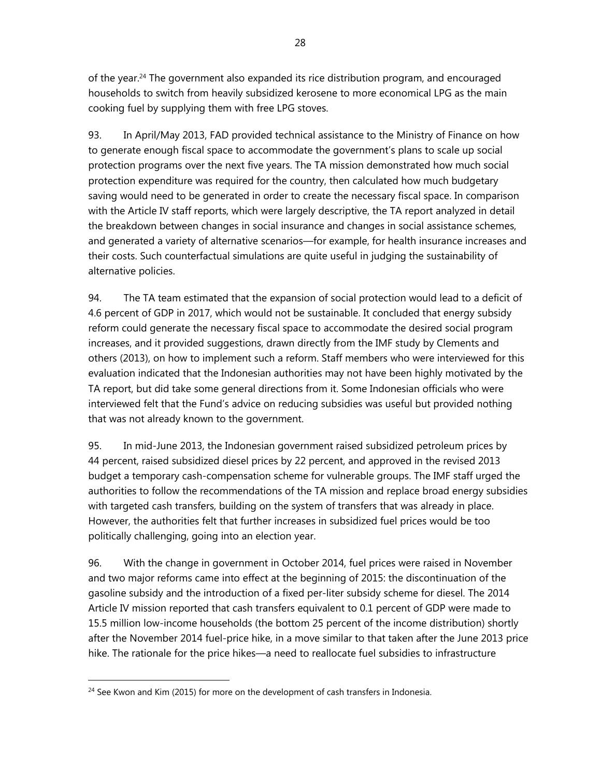of the year.<sup>24</sup> The government also expanded its rice distribution program, and encouraged households to switch from heavily subsidized kerosene to more economical LPG as the main cooking fuel by supplying them with free LPG stoves.

93. In April/May 2013, FAD provided technical assistance to the Ministry of Finance on how to generate enough fiscal space to accommodate the government's plans to scale up social protection programs over the next five years. The TA mission demonstrated how much social protection expenditure was required for the country, then calculated how much budgetary saving would need to be generated in order to create the necessary fiscal space. In comparison with the Article IV staff reports, which were largely descriptive, the TA report analyzed in detail the breakdown between changes in social insurance and changes in social assistance schemes, and generated a variety of alternative scenarios—for example, for health insurance increases and their costs. Such counterfactual simulations are quite useful in judging the sustainability of alternative policies.

94. The TA team estimated that the expansion of social protection would lead to a deficit of 4.6 percent of GDP in 2017, which would not be sustainable. It concluded that energy subsidy reform could generate the necessary fiscal space to accommodate the desired social program increases, and it provided suggestions, drawn directly from the IMF study by Clements and others (2013), on how to implement such a reform. Staff members who were interviewed for this evaluation indicated that the Indonesian authorities may not have been highly motivated by the TA report, but did take some general directions from it. Some Indonesian officials who were interviewed felt that the Fund's advice on reducing subsidies was useful but provided nothing that was not already known to the government.

95. In mid-June 2013, the Indonesian government raised subsidized petroleum prices by 44 percent, raised subsidized diesel prices by 22 percent, and approved in the revised 2013 budget a temporary cash-compensation scheme for vulnerable groups. The IMF staff urged the authorities to follow the recommendations of the TA mission and replace broad energy subsidies with targeted cash transfers, building on the system of transfers that was already in place. However, the authorities felt that further increases in subsidized fuel prices would be too politically challenging, going into an election year.

96. With the change in government in October 2014, fuel prices were raised in November and two major reforms came into effect at the beginning of 2015: the discontinuation of the gasoline subsidy and the introduction of a fixed per-liter subsidy scheme for diesel. The 2014 Article IV mission reported that cash transfers equivalent to 0.1 percent of GDP were made to 15.5 million low-income households (the bottom 25 percent of the income distribution) shortly after the November 2014 fuel-price hike, in a move similar to that taken after the June 2013 price hike. The rationale for the price hikes—a need to reallocate fuel subsidies to infrastructure

<sup>&</sup>lt;sup>24</sup> See Kwon and Kim (2015) for more on the development of cash transfers in Indonesia.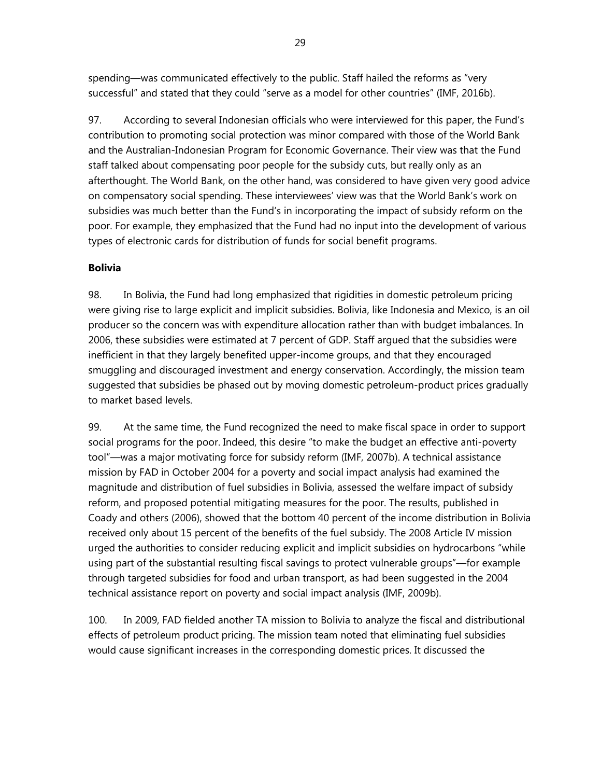spending—was communicated effectively to the public. Staff hailed the reforms as "very successful" and stated that they could "serve as a model for other countries" (IMF, 2016b).

97. According to several Indonesian officials who were interviewed for this paper, the Fund's contribution to promoting social protection was minor compared with those of the World Bank and the Australian-Indonesian Program for Economic Governance. Their view was that the Fund staff talked about compensating poor people for the subsidy cuts, but really only as an afterthought. The World Bank, on the other hand, was considered to have given very good advice on compensatory social spending. These interviewees' view was that the World Bank's work on subsidies was much better than the Fund's in incorporating the impact of subsidy reform on the poor. For example, they emphasized that the Fund had no input into the development of various types of electronic cards for distribution of funds for social benefit programs.

#### **Bolivia**

98. In Bolivia, the Fund had long emphasized that rigidities in domestic petroleum pricing were giving rise to large explicit and implicit subsidies. Bolivia, like Indonesia and Mexico, is an oil producer so the concern was with expenditure allocation rather than with budget imbalances. In 2006, these subsidies were estimated at 7 percent of GDP. Staff argued that the subsidies were inefficient in that they largely benefited upper-income groups, and that they encouraged smuggling and discouraged investment and energy conservation. Accordingly, the mission team suggested that subsidies be phased out by moving domestic petroleum-product prices gradually to market based levels.

99. At the same time, the Fund recognized the need to make fiscal space in order to support social programs for the poor. Indeed, this desire "to make the budget an effective anti-poverty tool"—was a major motivating force for subsidy reform (IMF, 2007b). A technical assistance mission by FAD in October 2004 for a poverty and social impact analysis had examined the magnitude and distribution of fuel subsidies in Bolivia, assessed the welfare impact of subsidy reform, and proposed potential mitigating measures for the poor. The results, published in Coady and others (2006), showed that the bottom 40 percent of the income distribution in Bolivia received only about 15 percent of the benefits of the fuel subsidy. The 2008 Article IV mission urged the authorities to consider reducing explicit and implicit subsidies on hydrocarbons "while using part of the substantial resulting fiscal savings to protect vulnerable groups"—for example through targeted subsidies for food and urban transport, as had been suggested in the 2004 technical assistance report on poverty and social impact analysis (IMF, 2009b).

100. In 2009, FAD fielded another TA mission to Bolivia to analyze the fiscal and distributional effects of petroleum product pricing. The mission team noted that eliminating fuel subsidies would cause significant increases in the corresponding domestic prices. It discussed the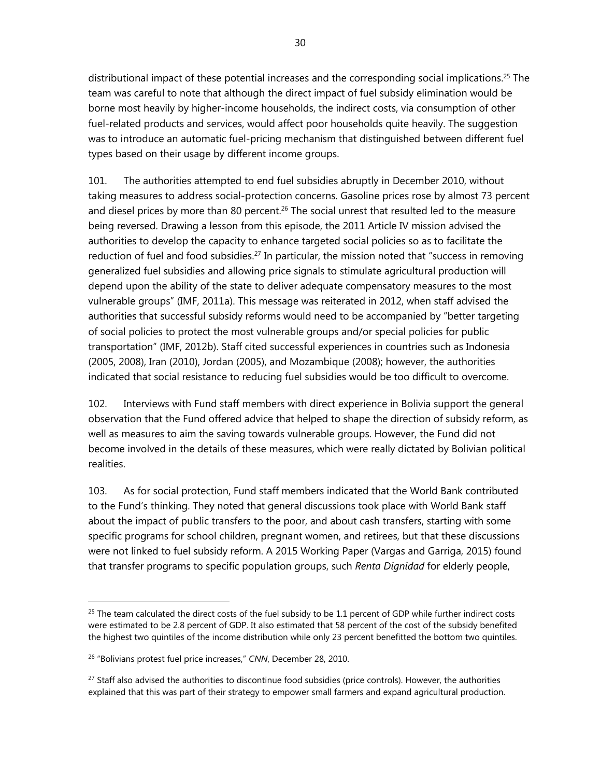distributional impact of these potential increases and the corresponding social implications.<sup>25</sup> The team was careful to note that although the direct impact of fuel subsidy elimination would be borne most heavily by higher-income households, the indirect costs, via consumption of other fuel-related products and services, would affect poor households quite heavily. The suggestion was to introduce an automatic fuel-pricing mechanism that distinguished between different fuel types based on their usage by different income groups.

101. The authorities attempted to end fuel subsidies abruptly in December 2010, without taking measures to address social-protection concerns. Gasoline prices rose by almost 73 percent and diesel prices by more than 80 percent.<sup>26</sup> The social unrest that resulted led to the measure being reversed. Drawing a lesson from this episode, the 2011 Article IV mission advised the authorities to develop the capacity to enhance targeted social policies so as to facilitate the reduction of fuel and food subsidies.<sup>27</sup> In particular, the mission noted that "success in removing generalized fuel subsidies and allowing price signals to stimulate agricultural production will depend upon the ability of the state to deliver adequate compensatory measures to the most vulnerable groups" (IMF, 2011a). This message was reiterated in 2012, when staff advised the authorities that successful subsidy reforms would need to be accompanied by "better targeting of social policies to protect the most vulnerable groups and/or special policies for public transportation" (IMF, 2012b). Staff cited successful experiences in countries such as Indonesia (2005, 2008), Iran (2010), Jordan (2005), and Mozambique (2008); however, the authorities indicated that social resistance to reducing fuel subsidies would be too difficult to overcome.

102. Interviews with Fund staff members with direct experience in Bolivia support the general observation that the Fund offered advice that helped to shape the direction of subsidy reform, as well as measures to aim the saving towards vulnerable groups. However, the Fund did not become involved in the details of these measures, which were really dictated by Bolivian political realities.

103. As for social protection, Fund staff members indicated that the World Bank contributed to the Fund's thinking. They noted that general discussions took place with World Bank staff about the impact of public transfers to the poor, and about cash transfers, starting with some specific programs for school children, pregnant women, and retirees, but that these discussions were not linked to fuel subsidy reform. A 2015 Working Paper (Vargas and Garriga, 2015) found that transfer programs to specific population groups, such *Renta Dignidad* for elderly people,

 $25$  The team calculated the direct costs of the fuel subsidy to be 1.1 percent of GDP while further indirect costs were estimated to be 2.8 percent of GDP. It also estimated that 58 percent of the cost of the subsidy benefited the highest two quintiles of the income distribution while only 23 percent benefitted the bottom two quintiles.

<sup>26 &</sup>quot;Bolivians protest fuel price increases," *CNN*, December 28, 2010.

<sup>&</sup>lt;sup>27</sup> Staff also advised the authorities to discontinue food subsidies (price controls). However, the authorities explained that this was part of their strategy to empower small farmers and expand agricultural production.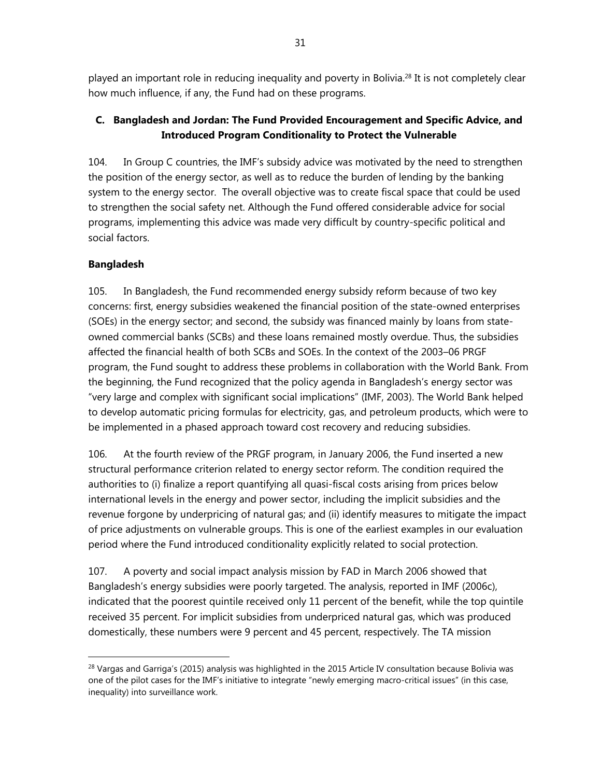played an important role in reducing inequality and poverty in Bolivia.<sup>28</sup> It is not completely clear how much influence, if any, the Fund had on these programs.

## **C. Bangladesh and Jordan: The Fund Provided Encouragement and Specific Advice, and Introduced Program Conditionality to Protect the Vulnerable**

104. In Group C countries, the IMF's subsidy advice was motivated by the need to strengthen the position of the energy sector, as well as to reduce the burden of lending by the banking system to the energy sector. The overall objective was to create fiscal space that could be used to strengthen the social safety net. Although the Fund offered considerable advice for social programs, implementing this advice was made very difficult by country-specific political and social factors.

# **Bangladesh**

 $\overline{a}$ 

105. In Bangladesh, the Fund recommended energy subsidy reform because of two key concerns: first, energy subsidies weakened the financial position of the state-owned enterprises (SOEs) in the energy sector; and second, the subsidy was financed mainly by loans from stateowned commercial banks (SCBs) and these loans remained mostly overdue. Thus, the subsidies affected the financial health of both SCBs and SOEs. In the context of the 2003–06 PRGF program, the Fund sought to address these problems in collaboration with the World Bank. From the beginning, the Fund recognized that the policy agenda in Bangladesh's energy sector was "very large and complex with significant social implications" (IMF, 2003). The World Bank helped to develop automatic pricing formulas for electricity, gas, and petroleum products, which were to be implemented in a phased approach toward cost recovery and reducing subsidies.

106. At the fourth review of the PRGF program, in January 2006, the Fund inserted a new structural performance criterion related to energy sector reform. The condition required the authorities to (i) finalize a report quantifying all quasi-fiscal costs arising from prices below international levels in the energy and power sector, including the implicit subsidies and the revenue forgone by underpricing of natural gas; and (ii) identify measures to mitigate the impact of price adjustments on vulnerable groups. This is one of the earliest examples in our evaluation period where the Fund introduced conditionality explicitly related to social protection.

107. A poverty and social impact analysis mission by FAD in March 2006 showed that Bangladesh's energy subsidies were poorly targeted. The analysis, reported in IMF (2006c), indicated that the poorest quintile received only 11 percent of the benefit, while the top quintile received 35 percent. For implicit subsidies from underpriced natural gas, which was produced domestically, these numbers were 9 percent and 45 percent, respectively. The TA mission

 $^{28}$  Vargas and Garriga's (2015) analysis was highlighted in the 2015 Article IV consultation because Bolivia was one of the pilot cases for the IMF's initiative to integrate "newly emerging macro-critical issues" (in this case, inequality) into surveillance work.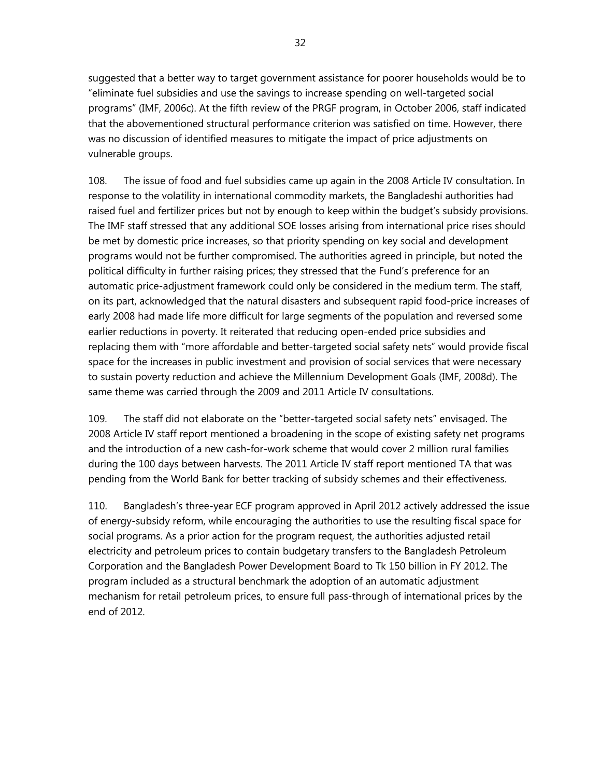suggested that a better way to target government assistance for poorer households would be to "eliminate fuel subsidies and use the savings to increase spending on well-targeted social programs" (IMF, 2006c). At the fifth review of the PRGF program, in October 2006, staff indicated that the abovementioned structural performance criterion was satisfied on time. However, there was no discussion of identified measures to mitigate the impact of price adjustments on vulnerable groups.

108. The issue of food and fuel subsidies came up again in the 2008 Article IV consultation. In response to the volatility in international commodity markets, the Bangladeshi authorities had raised fuel and fertilizer prices but not by enough to keep within the budget's subsidy provisions. The IMF staff stressed that any additional SOE losses arising from international price rises should be met by domestic price increases, so that priority spending on key social and development programs would not be further compromised. The authorities agreed in principle, but noted the political difficulty in further raising prices; they stressed that the Fund's preference for an automatic price-adjustment framework could only be considered in the medium term. The staff, on its part, acknowledged that the natural disasters and subsequent rapid food-price increases of early 2008 had made life more difficult for large segments of the population and reversed some earlier reductions in poverty. It reiterated that reducing open-ended price subsidies and replacing them with "more affordable and better-targeted social safety nets" would provide fiscal space for the increases in public investment and provision of social services that were necessary to sustain poverty reduction and achieve the Millennium Development Goals (IMF, 2008d). The same theme was carried through the 2009 and 2011 Article IV consultations.

109. The staff did not elaborate on the "better-targeted social safety nets" envisaged. The 2008 Article IV staff report mentioned a broadening in the scope of existing safety net programs and the introduction of a new cash-for-work scheme that would cover 2 million rural families during the 100 days between harvests. The 2011 Article IV staff report mentioned TA that was pending from the World Bank for better tracking of subsidy schemes and their effectiveness.

110. Bangladesh's three-year ECF program approved in April 2012 actively addressed the issue of energy-subsidy reform, while encouraging the authorities to use the resulting fiscal space for social programs. As a prior action for the program request, the authorities adjusted retail electricity and petroleum prices to contain budgetary transfers to the Bangladesh Petroleum Corporation and the Bangladesh Power Development Board to Tk 150 billion in FY 2012. The program included as a structural benchmark the adoption of an automatic adjustment mechanism for retail petroleum prices, to ensure full pass-through of international prices by the end of 2012.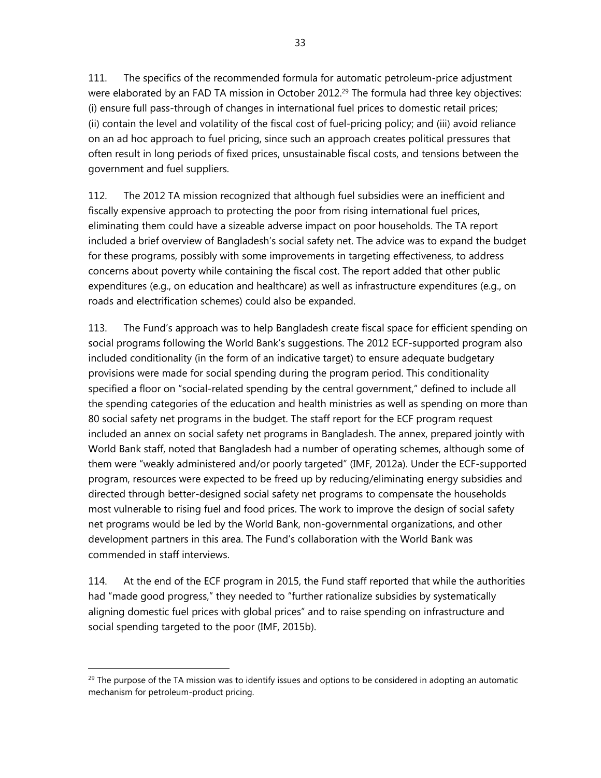111. The specifics of the recommended formula for automatic petroleum-price adjustment were elaborated by an FAD TA mission in October 2012.<sup>29</sup> The formula had three key objectives: (i) ensure full pass-through of changes in international fuel prices to domestic retail prices; (ii) contain the level and volatility of the fiscal cost of fuel-pricing policy; and (iii) avoid reliance on an ad hoc approach to fuel pricing, since such an approach creates political pressures that often result in long periods of fixed prices, unsustainable fiscal costs, and tensions between the government and fuel suppliers.

112. The 2012 TA mission recognized that although fuel subsidies were an inefficient and fiscally expensive approach to protecting the poor from rising international fuel prices, eliminating them could have a sizeable adverse impact on poor households. The TA report included a brief overview of Bangladesh's social safety net. The advice was to expand the budget for these programs, possibly with some improvements in targeting effectiveness, to address concerns about poverty while containing the fiscal cost. The report added that other public expenditures (e.g., on education and healthcare) as well as infrastructure expenditures (e.g., on roads and electrification schemes) could also be expanded.

113. The Fund's approach was to help Bangladesh create fiscal space for efficient spending on social programs following the World Bank's suggestions. The 2012 ECF-supported program also included conditionality (in the form of an indicative target) to ensure adequate budgetary provisions were made for social spending during the program period. This conditionality specified a floor on "social-related spending by the central government," defined to include all the spending categories of the education and health ministries as well as spending on more than 80 social safety net programs in the budget. The staff report for the ECF program request included an annex on social safety net programs in Bangladesh. The annex, prepared jointly with World Bank staff, noted that Bangladesh had a number of operating schemes, although some of them were "weakly administered and/or poorly targeted" (IMF, 2012a). Under the ECF-supported program, resources were expected to be freed up by reducing/eliminating energy subsidies and directed through better-designed social safety net programs to compensate the households most vulnerable to rising fuel and food prices. The work to improve the design of social safety net programs would be led by the World Bank, non-governmental organizations, and other development partners in this area. The Fund's collaboration with the World Bank was commended in staff interviews.

114. At the end of the ECF program in 2015, the Fund staff reported that while the authorities had "made good progress," they needed to "further rationalize subsidies by systematically aligning domestic fuel prices with global prices" and to raise spending on infrastructure and social spending targeted to the poor (IMF, 2015b).

 $29$  The purpose of the TA mission was to identify issues and options to be considered in adopting an automatic mechanism for petroleum-product pricing.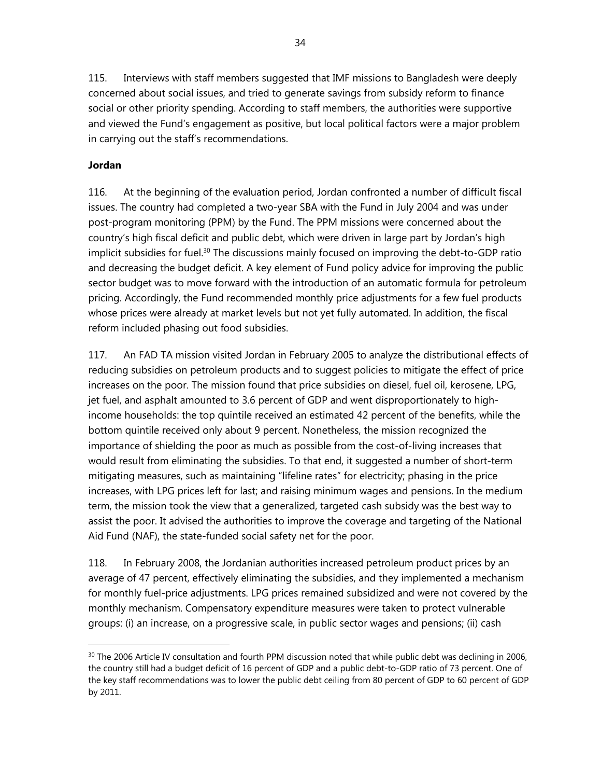115. Interviews with staff members suggested that IMF missions to Bangladesh were deeply concerned about social issues, and tried to generate savings from subsidy reform to finance social or other priority spending. According to staff members, the authorities were supportive and viewed the Fund's engagement as positive, but local political factors were a major problem in carrying out the staff's recommendations.

#### **Jordan**

 $\overline{a}$ 

116. At the beginning of the evaluation period, Jordan confronted a number of difficult fiscal issues. The country had completed a two-year SBA with the Fund in July 2004 and was under post-program monitoring (PPM) by the Fund. The PPM missions were concerned about the country's high fiscal deficit and public debt, which were driven in large part by Jordan's high implicit subsidies for fuel.<sup>30</sup> The discussions mainly focused on improving the debt-to-GDP ratio and decreasing the budget deficit. A key element of Fund policy advice for improving the public sector budget was to move forward with the introduction of an automatic formula for petroleum pricing. Accordingly, the Fund recommended monthly price adjustments for a few fuel products whose prices were already at market levels but not yet fully automated. In addition, the fiscal reform included phasing out food subsidies.

117. An FAD TA mission visited Jordan in February 2005 to analyze the distributional effects of reducing subsidies on petroleum products and to suggest policies to mitigate the effect of price increases on the poor. The mission found that price subsidies on diesel, fuel oil, kerosene, LPG, jet fuel, and asphalt amounted to 3.6 percent of GDP and went disproportionately to highincome households: the top quintile received an estimated 42 percent of the benefits, while the bottom quintile received only about 9 percent. Nonetheless, the mission recognized the importance of shielding the poor as much as possible from the cost-of-living increases that would result from eliminating the subsidies. To that end, it suggested a number of short-term mitigating measures, such as maintaining "lifeline rates" for electricity; phasing in the price increases, with LPG prices left for last; and raising minimum wages and pensions. In the medium term, the mission took the view that a generalized, targeted cash subsidy was the best way to assist the poor. It advised the authorities to improve the coverage and targeting of the National Aid Fund (NAF), the state-funded social safety net for the poor.

118. In February 2008, the Jordanian authorities increased petroleum product prices by an average of 47 percent, effectively eliminating the subsidies, and they implemented a mechanism for monthly fuel-price adjustments. LPG prices remained subsidized and were not covered by the monthly mechanism. Compensatory expenditure measures were taken to protect vulnerable groups: (i) an increase, on a progressive scale, in public sector wages and pensions; (ii) cash

<sup>&</sup>lt;sup>30</sup> The 2006 Article IV consultation and fourth PPM discussion noted that while public debt was declining in 2006, the country still had a budget deficit of 16 percent of GDP and a public debt-to-GDP ratio of 73 percent. One of the key staff recommendations was to lower the public debt ceiling from 80 percent of GDP to 60 percent of GDP by 2011.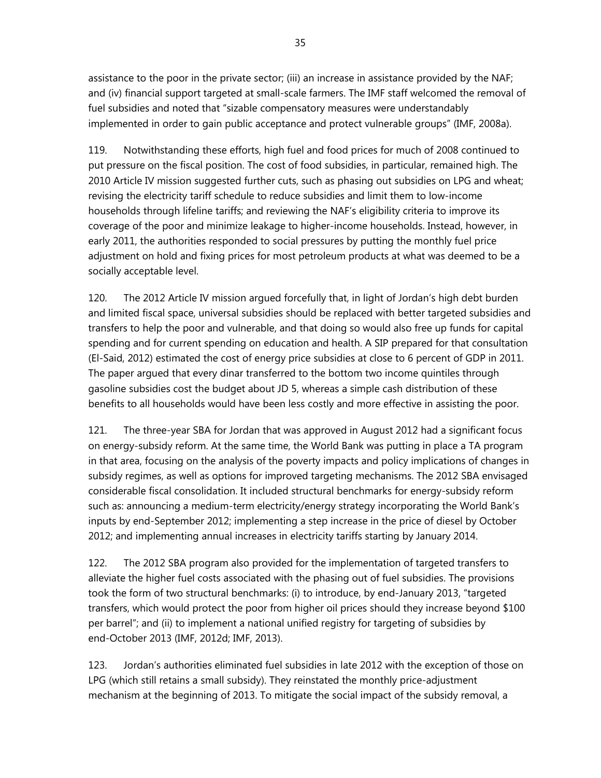assistance to the poor in the private sector; (iii) an increase in assistance provided by the NAF; and (iv) financial support targeted at small-scale farmers. The IMF staff welcomed the removal of fuel subsidies and noted that "sizable compensatory measures were understandably implemented in order to gain public acceptance and protect vulnerable groups" (IMF, 2008a).

119. Notwithstanding these efforts, high fuel and food prices for much of 2008 continued to put pressure on the fiscal position. The cost of food subsidies, in particular, remained high. The 2010 Article IV mission suggested further cuts, such as phasing out subsidies on LPG and wheat; revising the electricity tariff schedule to reduce subsidies and limit them to low-income households through lifeline tariffs; and reviewing the NAF's eligibility criteria to improve its coverage of the poor and minimize leakage to higher-income households. Instead, however, in early 2011, the authorities responded to social pressures by putting the monthly fuel price adjustment on hold and fixing prices for most petroleum products at what was deemed to be a socially acceptable level.

120. The 2012 Article IV mission argued forcefully that, in light of Jordan's high debt burden and limited fiscal space, universal subsidies should be replaced with better targeted subsidies and transfers to help the poor and vulnerable, and that doing so would also free up funds for capital spending and for current spending on education and health. A SIP prepared for that consultation (El-Said, 2012) estimated the cost of energy price subsidies at close to 6 percent of GDP in 2011. The paper argued that every dinar transferred to the bottom two income quintiles through gasoline subsidies cost the budget about JD 5, whereas a simple cash distribution of these benefits to all households would have been less costly and more effective in assisting the poor.

121. The three-year SBA for Jordan that was approved in August 2012 had a significant focus on energy-subsidy reform. At the same time, the World Bank was putting in place a TA program in that area, focusing on the analysis of the poverty impacts and policy implications of changes in subsidy regimes, as well as options for improved targeting mechanisms. The 2012 SBA envisaged considerable fiscal consolidation. It included structural benchmarks for energy-subsidy reform such as: announcing a medium-term electricity/energy strategy incorporating the World Bank's inputs by end-September 2012; implementing a step increase in the price of diesel by October 2012; and implementing annual increases in electricity tariffs starting by January 2014.

122. The 2012 SBA program also provided for the implementation of targeted transfers to alleviate the higher fuel costs associated with the phasing out of fuel subsidies. The provisions took the form of two structural benchmarks: (i) to introduce, by end-January 2013, "targeted transfers, which would protect the poor from higher oil prices should they increase beyond \$100 per barrel"; and (ii) to implement a national unified registry for targeting of subsidies by end-October 2013 (IMF, 2012d; IMF, 2013).

123. Jordan's authorities eliminated fuel subsidies in late 2012 with the exception of those on LPG (which still retains a small subsidy). They reinstated the monthly price-adjustment mechanism at the beginning of 2013. To mitigate the social impact of the subsidy removal, a

35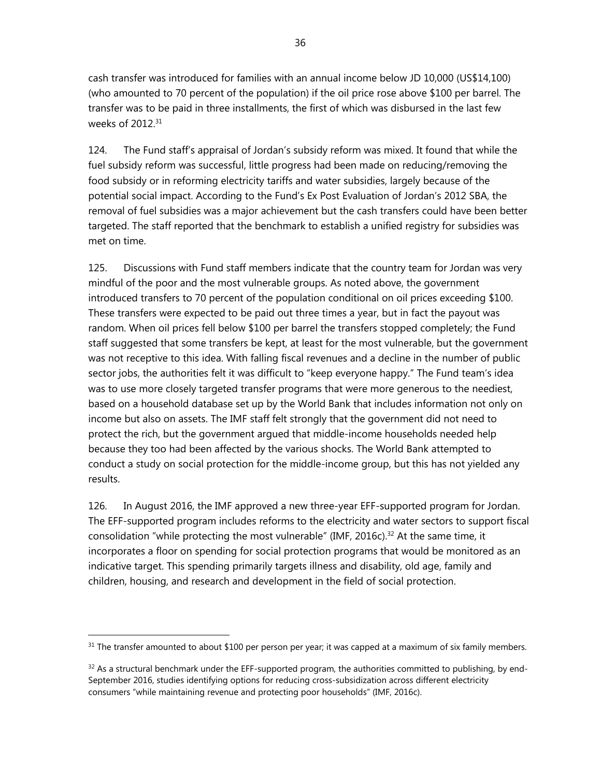cash transfer was introduced for families with an annual income below JD 10,000 (US\$14,100) (who amounted to 70 percent of the population) if the oil price rose above \$100 per barrel. The transfer was to be paid in three installments, the first of which was disbursed in the last few weeks of 2012<sup>31</sup>

124. The Fund staff's appraisal of Jordan's subsidy reform was mixed. It found that while the fuel subsidy reform was successful, little progress had been made on reducing/removing the food subsidy or in reforming electricity tariffs and water subsidies, largely because of the potential social impact. According to the Fund's Ex Post Evaluation of Jordan's 2012 SBA, the removal of fuel subsidies was a major achievement but the cash transfers could have been better targeted. The staff reported that the benchmark to establish a unified registry for subsidies was met on time.

125. Discussions with Fund staff members indicate that the country team for Jordan was very mindful of the poor and the most vulnerable groups. As noted above, the government introduced transfers to 70 percent of the population conditional on oil prices exceeding \$100. These transfers were expected to be paid out three times a year, but in fact the payout was random. When oil prices fell below \$100 per barrel the transfers stopped completely; the Fund staff suggested that some transfers be kept, at least for the most vulnerable, but the government was not receptive to this idea. With falling fiscal revenues and a decline in the number of public sector jobs, the authorities felt it was difficult to "keep everyone happy." The Fund team's idea was to use more closely targeted transfer programs that were more generous to the neediest, based on a household database set up by the World Bank that includes information not only on income but also on assets. The IMF staff felt strongly that the government did not need to protect the rich, but the government argued that middle-income households needed help because they too had been affected by the various shocks. The World Bank attempted to conduct a study on social protection for the middle-income group, but this has not yielded any results.

126. In August 2016, the IMF approved a new three-year EFF-supported program for Jordan. The EFF-supported program includes reforms to the electricity and water sectors to support fiscal consolidation "while protecting the most vulnerable" (IMF, 2016c).<sup>32</sup> At the same time, it incorporates a floor on spending for social protection programs that would be monitored as an indicative target. This spending primarily targets illness and disability, old age, family and children, housing, and research and development in the field of social protection.

<sup>&</sup>lt;sup>31</sup> The transfer amounted to about \$100 per person per year; it was capped at a maximum of six family members.

 $32$  As a structural benchmark under the EFF-supported program, the authorities committed to publishing, by end-September 2016, studies identifying options for reducing cross-subsidization across different electricity consumers "while maintaining revenue and protecting poor households" (IMF, 2016c).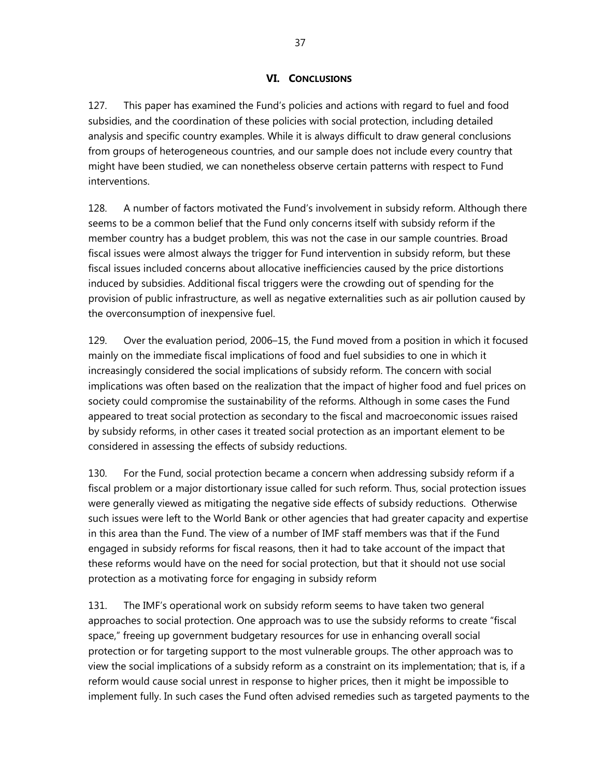#### **VI. CONCLUSIONS**

127. This paper has examined the Fund's policies and actions with regard to fuel and food subsidies, and the coordination of these policies with social protection, including detailed analysis and specific country examples. While it is always difficult to draw general conclusions from groups of heterogeneous countries, and our sample does not include every country that might have been studied, we can nonetheless observe certain patterns with respect to Fund interventions.

128. A number of factors motivated the Fund's involvement in subsidy reform. Although there seems to be a common belief that the Fund only concerns itself with subsidy reform if the member country has a budget problem, this was not the case in our sample countries. Broad fiscal issues were almost always the trigger for Fund intervention in subsidy reform, but these fiscal issues included concerns about allocative inefficiencies caused by the price distortions induced by subsidies. Additional fiscal triggers were the crowding out of spending for the provision of public infrastructure, as well as negative externalities such as air pollution caused by the overconsumption of inexpensive fuel.

129. Over the evaluation period, 2006–15, the Fund moved from a position in which it focused mainly on the immediate fiscal implications of food and fuel subsidies to one in which it increasingly considered the social implications of subsidy reform. The concern with social implications was often based on the realization that the impact of higher food and fuel prices on society could compromise the sustainability of the reforms. Although in some cases the Fund appeared to treat social protection as secondary to the fiscal and macroeconomic issues raised by subsidy reforms, in other cases it treated social protection as an important element to be considered in assessing the effects of subsidy reductions.

130. For the Fund, social protection became a concern when addressing subsidy reform if a fiscal problem or a major distortionary issue called for such reform. Thus, social protection issues were generally viewed as mitigating the negative side effects of subsidy reductions. Otherwise such issues were left to the World Bank or other agencies that had greater capacity and expertise in this area than the Fund. The view of a number of IMF staff members was that if the Fund engaged in subsidy reforms for fiscal reasons, then it had to take account of the impact that these reforms would have on the need for social protection, but that it should not use social protection as a motivating force for engaging in subsidy reform

131. The IMF's operational work on subsidy reform seems to have taken two general approaches to social protection. One approach was to use the subsidy reforms to create "fiscal space," freeing up government budgetary resources for use in enhancing overall social protection or for targeting support to the most vulnerable groups. The other approach was to view the social implications of a subsidy reform as a constraint on its implementation; that is, if a reform would cause social unrest in response to higher prices, then it might be impossible to implement fully. In such cases the Fund often advised remedies such as targeted payments to the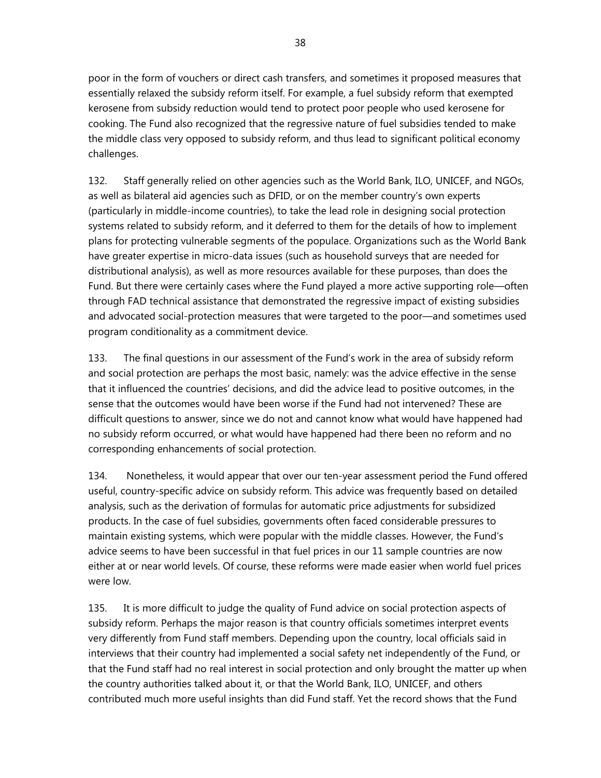poor in the form of vouchers or direct cash transfers, and sometimes it proposed measures that essentially relaxed the subsidy reform itself. For example, a fuel subsidy reform that exempted kerosene from subsidy reduction would tend to protect poor people who used kerosene for cooking. The Fund also recognized that the regressive nature of fuel subsidies tended to make the middle class very opposed to subsidy reform, and thus lead to significant political economy challenges.

132. Staff generally relied on other agencies such as the World Bank, ILO, UNICEF, and NGOs, as well as bilateral aid agencies such as DFID, or on the member country's own experts (particularly in middle-income countries), to take the lead role in designing social protection systems related to subsidy reform, and it deferred to them for the details of how to implement plans for protecting vulnerable segments of the populace. Organizations such as the World Bank have greater expertise in micro-data issues (such as household surveys that are needed for distributional analysis), as well as more resources available for these purposes, than does the Fund. But there were certainly cases where the Fund played a more active supporting role—often through FAD technical assistance that demonstrated the regressive impact of existing subsidies and advocated social-protection measures that were targeted to the poor—and sometimes used program conditionality as a commitment device.

133. The final questions in our assessment of the Fund's work in the area of subsidy reform and social protection are perhaps the most basic, namely: was the advice effective in the sense that it influenced the countries' decisions, and did the advice lead to positive outcomes, in the sense that the outcomes would have been worse if the Fund had not intervened? These are difficult questions to answer, since we do not and cannot know what would have happened had no subsidy reform occurred, or what would have happened had there been no reform and no corresponding enhancements of social protection.

134. Nonetheless, it would appear that over our ten-year assessment period the Fund offered useful, country-specific advice on subsidy reform. This advice was frequently based on detailed analysis, such as the derivation of formulas for automatic price adjustments for subsidized products. In the case of fuel subsidies, governments often faced considerable pressures to maintain existing systems, which were popular with the middle classes. However, the Fund's advice seems to have been successful in that fuel prices in our 11 sample countries are now either at or near world levels. Of course, these reforms were made easier when world fuel prices were low.

135. It is more difficult to judge the quality of Fund advice on social protection aspects of subsidy reform. Perhaps the major reason is that country officials sometimes interpret events very differently from Fund staff members. Depending upon the country, local officials said in interviews that their country had implemented a social safety net independently of the Fund, or that the Fund staff had no real interest in social protection and only brought the matter up when the country authorities talked about it, or that the World Bank, ILO, UNICEF, and others contributed much more useful insights than did Fund staff. Yet the record shows that the Fund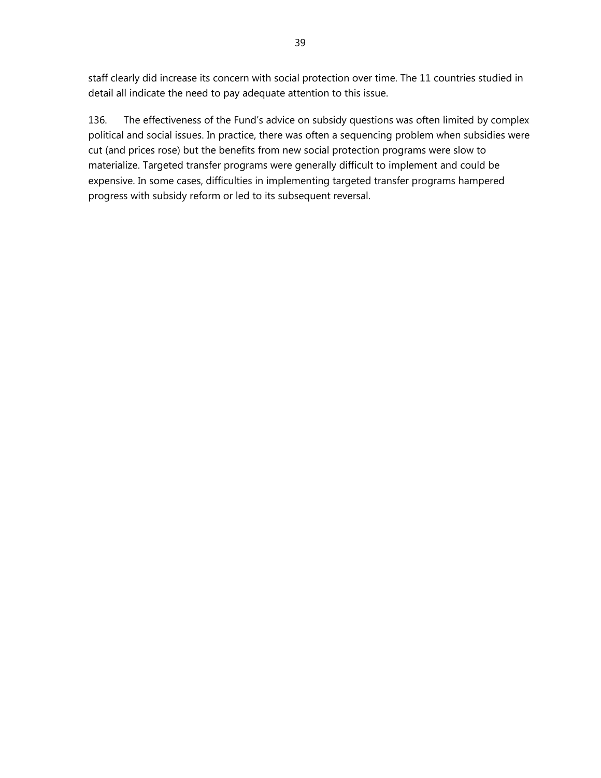staff clearly did increase its concern with social protection over time. The 11 countries studied in detail all indicate the need to pay adequate attention to this issue.

136. The effectiveness of the Fund's advice on subsidy questions was often limited by complex political and social issues. In practice, there was often a sequencing problem when subsidies were cut (and prices rose) but the benefits from new social protection programs were slow to materialize. Targeted transfer programs were generally difficult to implement and could be expensive. In some cases, difficulties in implementing targeted transfer programs hampered progress with subsidy reform or led to its subsequent reversal.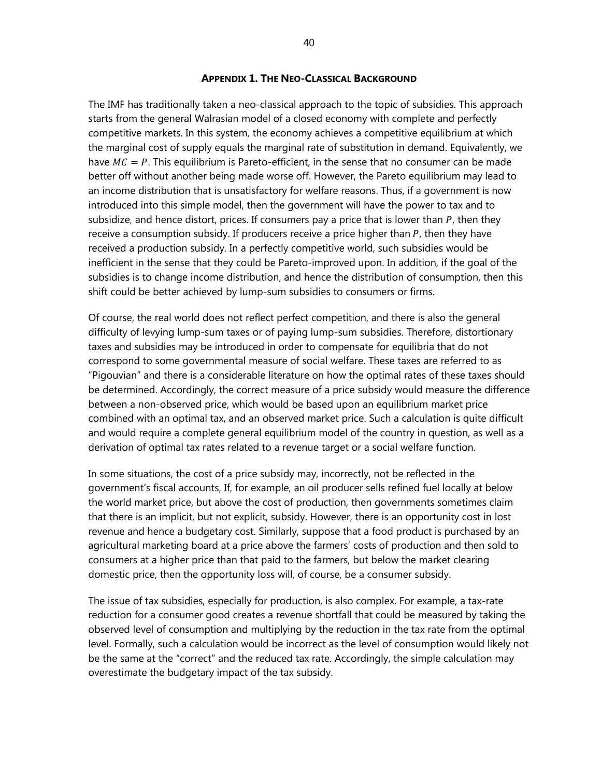#### **APPENDIX 1. THE NEO-CLASSICAL BACKGROUND**

The IMF has traditionally taken a neo-classical approach to the topic of subsidies. This approach starts from the general Walrasian model of a closed economy with complete and perfectly competitive markets. In this system, the economy achieves a competitive equilibrium at which the marginal cost of supply equals the marginal rate of substitution in demand. Equivalently, we have  $MC = P$ . This equilibrium is Pareto-efficient, in the sense that no consumer can be made better off without another being made worse off. However, the Pareto equilibrium may lead to an income distribution that is unsatisfactory for welfare reasons. Thus, if a government is now introduced into this simple model, then the government will have the power to tax and to subsidize, and hence distort, prices. If consumers pay a price that is lower than  $P$ , then they receive a consumption subsidy. If producers receive a price higher than  $P$ , then they have received a production subsidy. In a perfectly competitive world, such subsidies would be inefficient in the sense that they could be Pareto-improved upon. In addition, if the goal of the subsidies is to change income distribution, and hence the distribution of consumption, then this shift could be better achieved by lump-sum subsidies to consumers or firms.

Of course, the real world does not reflect perfect competition, and there is also the general difficulty of levying lump-sum taxes or of paying lump-sum subsidies. Therefore, distortionary taxes and subsidies may be introduced in order to compensate for equilibria that do not correspond to some governmental measure of social welfare. These taxes are referred to as "Pigouvian" and there is a considerable literature on how the optimal rates of these taxes should be determined. Accordingly, the correct measure of a price subsidy would measure the difference between a non-observed price, which would be based upon an equilibrium market price combined with an optimal tax, and an observed market price. Such a calculation is quite difficult and would require a complete general equilibrium model of the country in question, as well as a derivation of optimal tax rates related to a revenue target or a social welfare function.

In some situations, the cost of a price subsidy may, incorrectly, not be reflected in the government's fiscal accounts, If, for example, an oil producer sells refined fuel locally at below the world market price, but above the cost of production, then governments sometimes claim that there is an implicit, but not explicit, subsidy. However, there is an opportunity cost in lost revenue and hence a budgetary cost. Similarly, suppose that a food product is purchased by an agricultural marketing board at a price above the farmers' costs of production and then sold to consumers at a higher price than that paid to the farmers, but below the market clearing domestic price, then the opportunity loss will, of course, be a consumer subsidy.

The issue of tax subsidies, especially for production, is also complex. For example, a tax-rate reduction for a consumer good creates a revenue shortfall that could be measured by taking the observed level of consumption and multiplying by the reduction in the tax rate from the optimal level. Formally, such a calculation would be incorrect as the level of consumption would likely not be the same at the "correct" and the reduced tax rate. Accordingly, the simple calculation may overestimate the budgetary impact of the tax subsidy.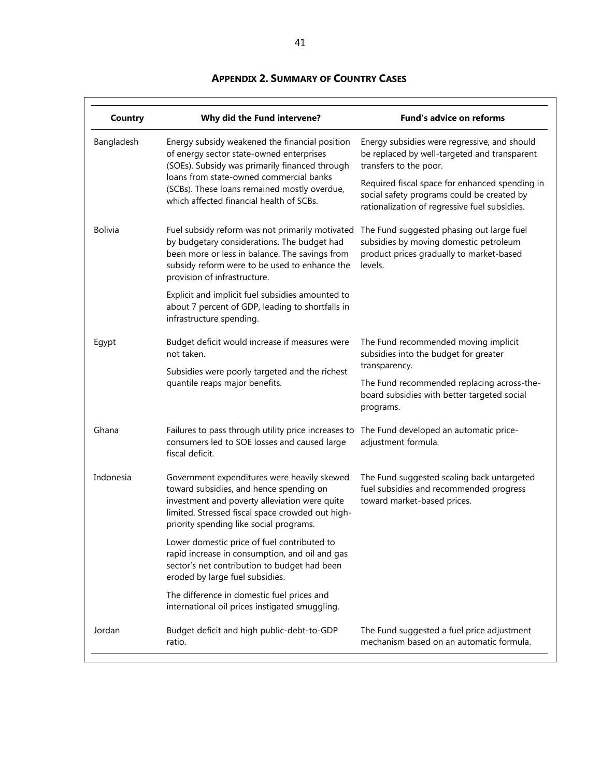| Country        | Why did the Fund intervene?                                                                                                                                                                                                                                                         | <b>Fund's advice on reforms</b>                                                                                                                                          |
|----------------|-------------------------------------------------------------------------------------------------------------------------------------------------------------------------------------------------------------------------------------------------------------------------------------|--------------------------------------------------------------------------------------------------------------------------------------------------------------------------|
| Bangladesh     | Energy subsidy weakened the financial position<br>of energy sector state-owned enterprises<br>(SOEs). Subsidy was primarily financed through<br>loans from state-owned commercial banks<br>(SCBs). These loans remained mostly overdue,<br>which affected financial health of SCBs. | Energy subsidies were regressive, and should<br>be replaced by well-targeted and transparent<br>transfers to the poor.<br>Required fiscal space for enhanced spending in |
|                |                                                                                                                                                                                                                                                                                     | social safety programs could be created by<br>rationalization of regressive fuel subsidies.                                                                              |
| <b>Bolivia</b> | Fuel subsidy reform was not primarily motivated<br>by budgetary considerations. The budget had<br>been more or less in balance. The savings from<br>subsidy reform were to be used to enhance the<br>provision of infrastructure.                                                   | The Fund suggested phasing out large fuel<br>subsidies by moving domestic petroleum<br>product prices gradually to market-based<br>levels.                               |
|                | Explicit and implicit fuel subsidies amounted to<br>about 7 percent of GDP, leading to shortfalls in<br>infrastructure spending.                                                                                                                                                    |                                                                                                                                                                          |
| Egypt          | Budget deficit would increase if measures were<br>not taken.                                                                                                                                                                                                                        | The Fund recommended moving implicit<br>subsidies into the budget for greater                                                                                            |
|                | Subsidies were poorly targeted and the richest<br>quantile reaps major benefits.                                                                                                                                                                                                    | transparency.<br>The Fund recommended replacing across-the-<br>board subsidies with better targeted social<br>programs.                                                  |
| Ghana          | Failures to pass through utility price increases to<br>consumers led to SOE losses and caused large<br>fiscal deficit.                                                                                                                                                              | The Fund developed an automatic price-<br>adjustment formula.                                                                                                            |
| Indonesia      | Government expenditures were heavily skewed<br>toward subsidies, and hence spending on<br>investment and poverty alleviation were quite<br>limited. Stressed fiscal space crowded out high-<br>priority spending like social programs.                                              | The Fund suggested scaling back untargeted<br>fuel subsidies and recommended progress<br>toward market-based prices.                                                     |
|                | Lower domestic price of fuel contributed to<br>rapid increase in consumption, and oil and gas<br>sector's net contribution to budget had been<br>eroded by large fuel subsidies.                                                                                                    |                                                                                                                                                                          |
|                | The difference in domestic fuel prices and<br>international oil prices instigated smuggling.                                                                                                                                                                                        |                                                                                                                                                                          |
| Jordan         | Budget deficit and high public-debt-to-GDP<br>ratio.                                                                                                                                                                                                                                | The Fund suggested a fuel price adjustment<br>mechanism based on an automatic formula.                                                                                   |

# **APPENDIX 2. SUMMARY OF COUNTRY CASES**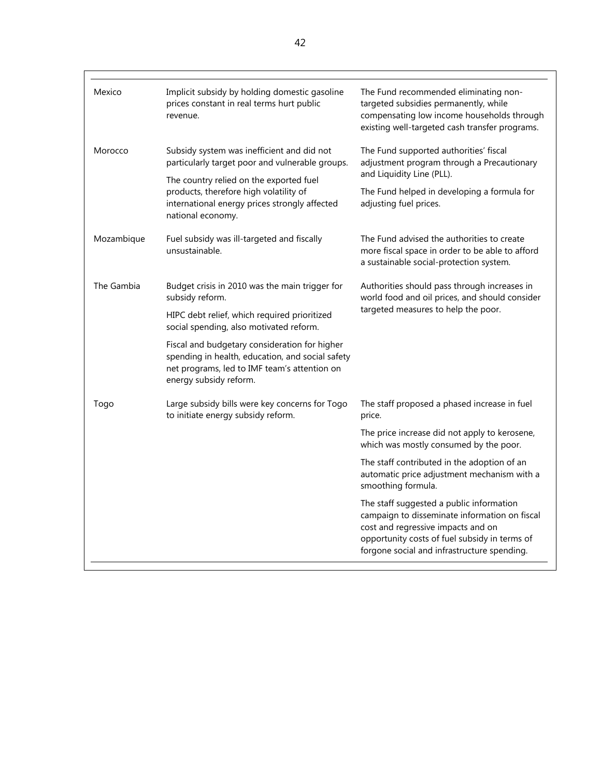| Mexico     | Implicit subsidy by holding domestic gasoline<br>prices constant in real terms hurt public<br>revenue.                                                                                                                                                                                                                                      | The Fund recommended eliminating non-<br>targeted subsidies permanently, while<br>compensating low income households through<br>existing well-targeted cash transfer programs.                                                                                                                                                                                                                                                                                                                           |
|------------|---------------------------------------------------------------------------------------------------------------------------------------------------------------------------------------------------------------------------------------------------------------------------------------------------------------------------------------------|----------------------------------------------------------------------------------------------------------------------------------------------------------------------------------------------------------------------------------------------------------------------------------------------------------------------------------------------------------------------------------------------------------------------------------------------------------------------------------------------------------|
| Morocco    | Subsidy system was inefficient and did not<br>particularly target poor and vulnerable groups.<br>The country relied on the exported fuel<br>products, therefore high volatility of<br>international energy prices strongly affected<br>national economy.                                                                                    | The Fund supported authorities' fiscal<br>adjustment program through a Precautionary<br>and Liquidity Line (PLL).<br>The Fund helped in developing a formula for<br>adjusting fuel prices.                                                                                                                                                                                                                                                                                                               |
| Mozambique | Fuel subsidy was ill-targeted and fiscally<br>unsustainable.                                                                                                                                                                                                                                                                                | The Fund advised the authorities to create<br>more fiscal space in order to be able to afford<br>a sustainable social-protection system.                                                                                                                                                                                                                                                                                                                                                                 |
| The Gambia | Budget crisis in 2010 was the main trigger for<br>subsidy reform.<br>HIPC debt relief, which required prioritized<br>social spending, also motivated reform.<br>Fiscal and budgetary consideration for higher<br>spending in health, education, and social safety<br>net programs, led to IMF team's attention on<br>energy subsidy reform. | Authorities should pass through increases in<br>world food and oil prices, and should consider<br>targeted measures to help the poor.                                                                                                                                                                                                                                                                                                                                                                    |
| Togo       | Large subsidy bills were key concerns for Togo<br>to initiate energy subsidy reform.                                                                                                                                                                                                                                                        | The staff proposed a phased increase in fuel<br>price.<br>The price increase did not apply to kerosene,<br>which was mostly consumed by the poor.<br>The staff contributed in the adoption of an<br>automatic price adjustment mechanism with a<br>smoothing formula.<br>The staff suggested a public information<br>campaign to disseminate information on fiscal<br>cost and regressive impacts and on<br>opportunity costs of fuel subsidy in terms of<br>forgone social and infrastructure spending. |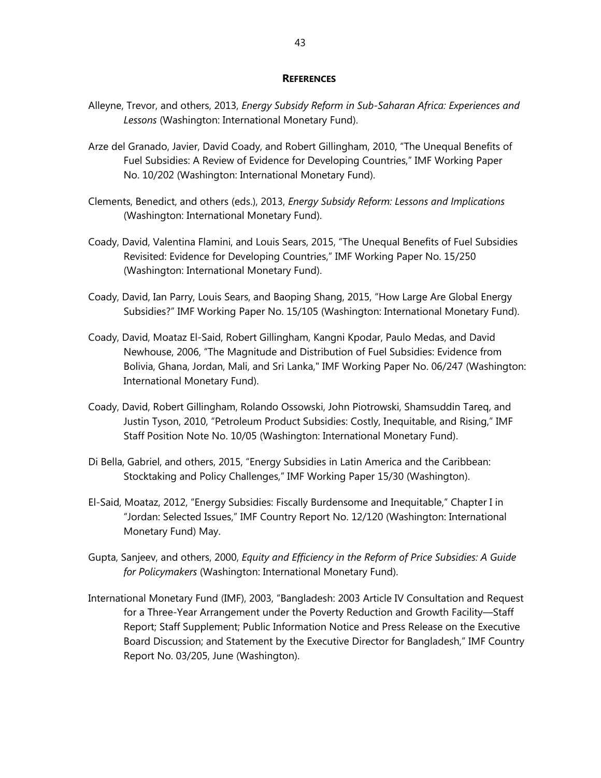#### **REFERENCES**

- Alleyne, Trevor, and others, 2013, *Energy Subsidy Reform in Sub-Saharan Africa: Experiences and Lessons* (Washington: International Monetary Fund).
- Arze del Granado, Javier, David Coady, and Robert Gillingham, 2010, "The Unequal Benefits of Fuel Subsidies: A Review of Evidence for Developing Countries," IMF Working Paper No. 10/202 (Washington: International Monetary Fund).
- Clements, Benedict, and others (eds.), 2013, *Energy Subsidy Reform: Lessons and Implications*  (Washington: International Monetary Fund).
- Coady, David, Valentina Flamini, and Louis Sears, 2015, "The Unequal Benefits of Fuel Subsidies Revisited: Evidence for Developing Countries," IMF Working Paper No. 15/250 (Washington: International Monetary Fund).
- Coady, David, Ian Parry, Louis Sears, and Baoping Shang, 2015, "How Large Are Global Energy Subsidies?" IMF Working Paper No. 15/105 (Washington: International Monetary Fund).
- Coady, David, Moataz El-Said, Robert Gillingham, Kangni Kpodar, Paulo Medas, and David Newhouse, 2006, "The Magnitude and Distribution of Fuel Subsidies: Evidence from Bolivia, Ghana, Jordan, Mali, and Sri Lanka," IMF Working Paper No. 06/247 (Washington: International Monetary Fund).
- Coady, David, Robert Gillingham, Rolando Ossowski, John Piotrowski, Shamsuddin Tareq, and Justin Tyson, 2010, "Petroleum Product Subsidies: Costly, Inequitable, and Rising," IMF Staff Position Note No. 10/05 (Washington: International Monetary Fund).
- Di Bella, Gabriel, and others, 2015, "Energy Subsidies in Latin America and the Caribbean: Stocktaking and Policy Challenges," IMF Working Paper 15/30 (Washington).
- El-Said, Moataz, 2012, "Energy Subsidies: Fiscally Burdensome and Inequitable," Chapter I in "Jordan: Selected Issues," IMF Country Report No. 12/120 (Washington: International Monetary Fund) May.
- Gupta, Sanjeev, and others, 2000, *Equity and Efficiency in the Reform of Price Subsidies: A Guide for Policymakers* (Washington: International Monetary Fund).
- International Monetary Fund (IMF), 2003, "Bangladesh: 2003 Article IV Consultation and Request for a Three-Year Arrangement under the Poverty Reduction and Growth Facility—Staff Report; Staff Supplement; Public Information Notice and Press Release on the Executive Board Discussion; and Statement by the Executive Director for Bangladesh," IMF Country Report No. 03/205, June (Washington).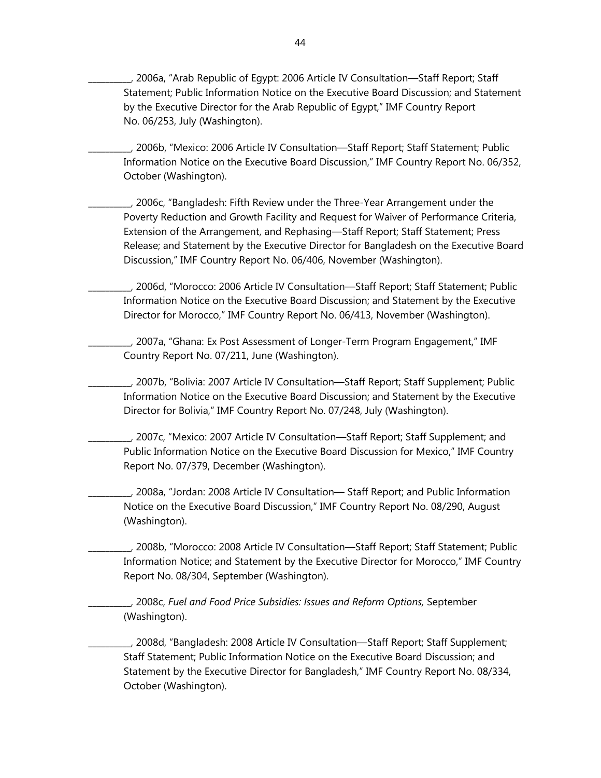\_\_\_\_\_\_\_\_\_\_, 2006a, "Arab Republic of Egypt: 2006 Article IV Consultation—Staff Report; Staff Statement; Public Information Notice on the Executive Board Discussion; and Statement by the Executive Director for the Arab Republic of Egypt," IMF Country Report No. 06/253, July (Washington).

\_\_\_\_\_\_\_\_\_\_, 2006b, "Mexico: 2006 Article IV Consultation—Staff Report; Staff Statement; Public Information Notice on the Executive Board Discussion," IMF Country Report No. 06/352, October (Washington).

\_\_\_\_\_\_\_\_\_\_, 2006c, "Bangladesh: Fifth Review under the Three-Year Arrangement under the Poverty Reduction and Growth Facility and Request for Waiver of Performance Criteria, Extension of the Arrangement, and Rephasing—Staff Report; Staff Statement; Press Release; and Statement by the Executive Director for Bangladesh on the Executive Board Discussion," IMF Country Report No. 06/406, November (Washington).

\_\_\_\_\_\_\_\_\_\_, 2006d, "Morocco: 2006 Article IV Consultation—Staff Report; Staff Statement; Public Information Notice on the Executive Board Discussion; and Statement by the Executive Director for Morocco," IMF Country Report No. 06/413, November (Washington).

\_\_\_\_\_\_\_\_\_\_, 2007a, "Ghana: Ex Post Assessment of Longer-Term Program Engagement," IMF Country Report No. 07/211, June (Washington).

\_\_\_\_\_\_\_\_\_\_, 2007b, "Bolivia: 2007 Article IV Consultation—Staff Report; Staff Supplement; Public Information Notice on the Executive Board Discussion; and Statement by the Executive Director for Bolivia," IMF Country Report No. 07/248, July (Washington).

\_\_\_\_\_\_\_\_\_\_, 2007c, "Mexico: 2007 Article IV Consultation—Staff Report; Staff Supplement; and Public Information Notice on the Executive Board Discussion for Mexico," IMF Country Report No. 07/379, December (Washington).

\_\_\_\_\_\_\_\_\_\_, 2008a, "Jordan: 2008 Article IV Consultation— Staff Report; and Public Information Notice on the Executive Board Discussion," IMF Country Report No. 08/290, August (Washington).

\_\_\_\_\_\_\_\_\_\_, 2008b, "Morocco: 2008 Article IV Consultation—Staff Report; Staff Statement; Public Information Notice; and Statement by the Executive Director for Morocco," IMF Country Report No. 08/304, September (Washington).

\_\_\_\_\_\_\_\_\_\_, 2008c, *Fuel and Food Price Subsidies: Issues and Reform Options,* September (Washington).

\_\_\_\_\_\_\_\_\_\_, 2008d, "Bangladesh: 2008 Article IV Consultation—Staff Report; Staff Supplement; Staff Statement; Public Information Notice on the Executive Board Discussion; and Statement by the Executive Director for Bangladesh," IMF Country Report No. 08/334, October (Washington).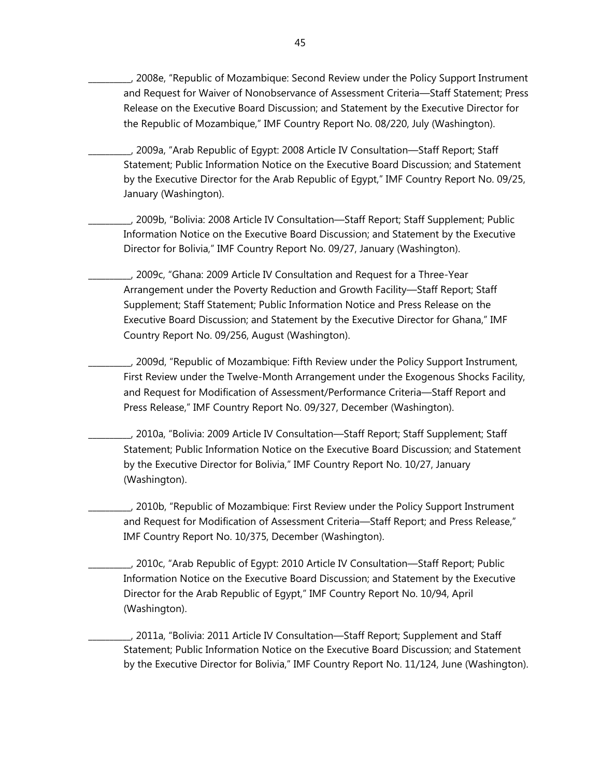\_\_\_\_\_\_\_\_\_\_, 2008e, "Republic of Mozambique: Second Review under the Policy Support Instrument and Request for Waiver of Nonobservance of Assessment Criteria—Staff Statement; Press Release on the Executive Board Discussion; and Statement by the Executive Director for the Republic of Mozambique," IMF Country Report No. 08/220, July (Washington).

\_\_\_\_\_\_\_\_\_\_, 2009a, "Arab Republic of Egypt: 2008 Article IV Consultation—Staff Report; Staff Statement; Public Information Notice on the Executive Board Discussion; and Statement by the Executive Director for the Arab Republic of Egypt," IMF Country Report No. 09/25, January (Washington).

\_\_\_\_\_\_\_\_\_\_, 2009b, "Bolivia: 2008 Article IV Consultation—Staff Report; Staff Supplement; Public Information Notice on the Executive Board Discussion; and Statement by the Executive Director for Bolivia," IMF Country Report No. 09/27, January (Washington).

\_\_\_\_\_\_\_\_\_\_, 2009c, "Ghana: 2009 Article IV Consultation and Request for a Three-Year Arrangement under the Poverty Reduction and Growth Facility—Staff Report; Staff Supplement; Staff Statement; Public Information Notice and Press Release on the Executive Board Discussion; and Statement by the Executive Director for Ghana," IMF Country Report No. 09/256, August (Washington).

\_\_\_\_\_\_\_\_\_\_, 2009d, "Republic of Mozambique: Fifth Review under the Policy Support Instrument, First Review under the Twelve-Month Arrangement under the Exogenous Shocks Facility, and Request for Modification of Assessment/Performance Criteria—Staff Report and Press Release," IMF Country Report No. 09/327, December (Washington).

\_\_\_\_\_\_\_\_\_\_, 2010a, "Bolivia: 2009 Article IV Consultation—Staff Report; Staff Supplement; Staff Statement; Public Information Notice on the Executive Board Discussion; and Statement by the Executive Director for Bolivia," IMF Country Report No. 10/27, January (Washington).

\_\_\_\_\_\_\_\_\_\_, 2010b, "Republic of Mozambique: First Review under the Policy Support Instrument and Request for Modification of Assessment Criteria—Staff Report; and Press Release," IMF Country Report No. 10/375, December (Washington).

\_\_\_\_\_\_\_\_\_\_, 2010c, "Arab Republic of Egypt: 2010 Article IV Consultation—Staff Report; Public Information Notice on the Executive Board Discussion; and Statement by the Executive Director for the Arab Republic of Egypt," IMF Country Report No. 10/94, April (Washington).

\_\_\_\_\_\_\_\_\_\_, 2011a, "Bolivia: 2011 Article IV Consultation—Staff Report; Supplement and Staff Statement; Public Information Notice on the Executive Board Discussion; and Statement by the Executive Director for Bolivia," IMF Country Report No. 11/124, June (Washington).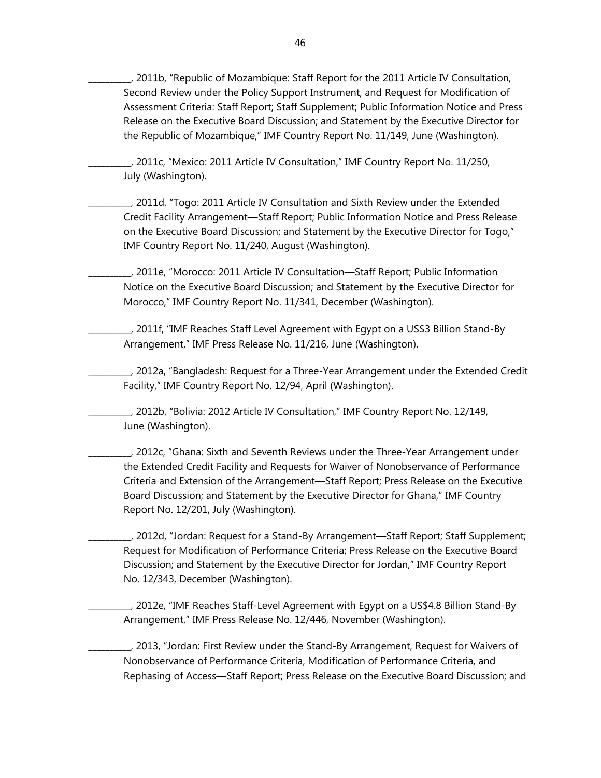\_\_\_\_\_\_\_\_\_\_, 2011b, "Republic of Mozambique: Staff Report for the 2011 Article IV Consultation, Second Review under the Policy Support Instrument, and Request for Modification of Assessment Criteria: Staff Report; Staff Supplement; Public Information Notice and Press Release on the Executive Board Discussion; and Statement by the Executive Director for the Republic of Mozambique," IMF Country Report No. 11/149, June (Washington).

\_\_\_\_\_\_\_\_\_\_, 2011c, "Mexico: 2011 Article IV Consultation," IMF Country Report No. 11/250, July (Washington).

\_\_\_\_\_\_\_\_\_\_, 2011d, "Togo: 2011 Article IV Consultation and Sixth Review under the Extended Credit Facility Arrangement—Staff Report; Public Information Notice and Press Release on the Executive Board Discussion; and Statement by the Executive Director for Togo," IMF Country Report No. 11/240, August (Washington).

\_\_\_\_\_\_\_\_\_\_, 2011e, "Morocco: 2011 Article IV Consultation—Staff Report; Public Information Notice on the Executive Board Discussion; and Statement by the Executive Director for Morocco," IMF Country Report No. 11/341, December (Washington).

\_\_\_\_\_\_\_\_\_\_, 2011f, "IMF Reaches Staff Level Agreement with Egypt on a US\$3 Billion Stand-By Arrangement," IMF Press Release No. 11/216, June (Washington).

\_\_\_\_\_\_\_\_\_\_, 2012a, "Bangladesh: Request for a Three-Year Arrangement under the Extended Credit Facility," IMF Country Report No. 12/94, April (Washington).

\_\_\_\_\_\_\_\_\_\_, 2012b, "Bolivia: 2012 Article IV Consultation," IMF Country Report No. 12/149, June (Washington).

\_\_\_\_\_\_\_\_\_\_, 2012c, "Ghana: Sixth and Seventh Reviews under the Three-Year Arrangement under the Extended Credit Facility and Requests for Waiver of Nonobservance of Performance Criteria and Extension of the Arrangement—Staff Report; Press Release on the Executive Board Discussion; and Statement by the Executive Director for Ghana," IMF Country Report No. 12/201, July (Washington).

\_\_\_\_\_\_\_\_\_\_, 2012d, "Jordan: Request for a Stand-By Arrangement—Staff Report; Staff Supplement; Request for Modification of Performance Criteria; Press Release on the Executive Board Discussion; and Statement by the Executive Director for Jordan," IMF Country Report No. 12/343, December (Washington).

\_\_\_\_\_\_\_\_\_\_, 2012e, "IMF Reaches Staff-Level Agreement with Egypt on a US\$4.8 Billion Stand-By Arrangement," IMF Press Release No. 12/446, November (Washington).

\_\_\_\_\_\_\_\_\_\_, 2013, "Jordan: First Review under the Stand-By Arrangement, Request for Waivers of Nonobservance of Performance Criteria, Modification of Performance Criteria, and Rephasing of Access—Staff Report; Press Release on the Executive Board Discussion; and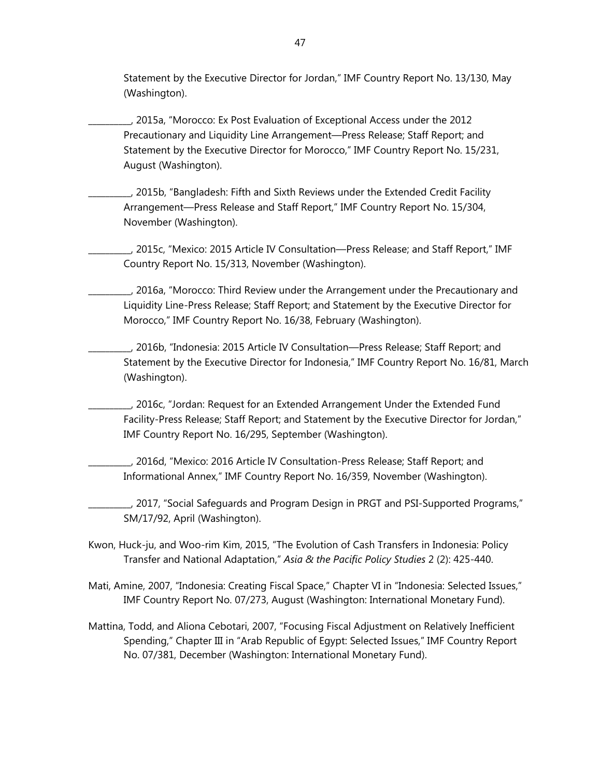Statement by the Executive Director for Jordan," IMF Country Report No. 13/130, May (Washington).

\_\_\_\_\_\_\_\_\_\_, 2015a, "Morocco: Ex Post Evaluation of Exceptional Access under the 2012 Precautionary and Liquidity Line Arrangement—Press Release; Staff Report; and Statement by the Executive Director for Morocco," IMF Country Report No. 15/231, August (Washington).

\_\_\_\_\_\_\_\_\_\_, 2015b, "Bangladesh: Fifth and Sixth Reviews under the Extended Credit Facility Arrangement—Press Release and Staff Report," IMF Country Report No. 15/304, November (Washington).

\_\_\_\_\_\_\_\_\_\_, 2015c, "Mexico: 2015 Article IV Consultation—Press Release; and Staff Report," IMF Country Report No. 15/313, November (Washington).

\_\_\_\_\_\_\_\_\_\_, 2016a, "Morocco: Third Review under the Arrangement under the Precautionary and Liquidity Line-Press Release; Staff Report; and Statement by the Executive Director for Morocco," IMF Country Report No. 16/38, February (Washington).

\_\_\_\_\_\_\_\_\_\_, 2016b, "Indonesia: 2015 Article IV Consultation—Press Release; Staff Report; and Statement by the Executive Director for Indonesia," IMF Country Report No. 16/81, March (Washington).

\_\_\_\_\_\_\_\_\_\_, 2016c, "Jordan: Request for an Extended Arrangement Under the Extended Fund Facility-Press Release; Staff Report; and Statement by the Executive Director for Jordan," IMF Country Report No. 16/295, September (Washington).

\_\_\_\_\_\_\_\_\_\_, 2016d, "Mexico: 2016 Article IV Consultation-Press Release; Staff Report; and Informational Annex," IMF Country Report No. 16/359, November (Washington).

\_\_\_\_\_\_\_\_\_\_, 2017, "Social Safeguards and Program Design in PRGT and PSI-Supported Programs," SM/17/92, April (Washington).

Kwon, Huck-ju, and Woo-rim Kim, 2015, "The Evolution of Cash Transfers in Indonesia: Policy Transfer and National Adaptation," *Asia & the Pacific Policy Studies* 2 (2): 425-440.

Mati, Amine, 2007, "Indonesia: Creating Fiscal Space," Chapter VI in "Indonesia: Selected Issues," IMF Country Report No. 07/273, August (Washington: International Monetary Fund).

Mattina, Todd, and Aliona Cebotari, 2007, "Focusing Fiscal Adjustment on Relatively Inefficient Spending," Chapter III in "Arab Republic of Egypt: Selected Issues," IMF Country Report No. 07/381, December (Washington: International Monetary Fund).